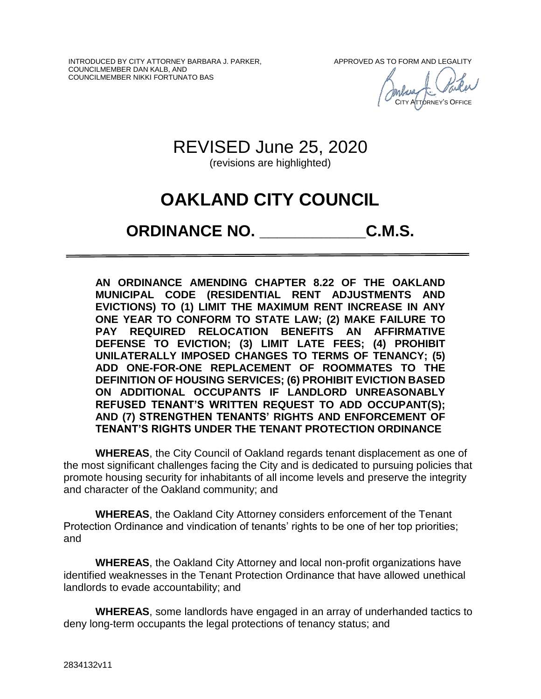INTRODUCED BY CITY ATTORNEY BARBARA J. PARKER, COUNCILMEMBER DAN KALB, AND COUNCILMEMBER NIKKI FORTUNATO BAS

APPROVED AS TO FORM AND LEGALITY

CITY ATTORNEY'S OFFICE

# REVISED June 25, 2020

(revisions are highlighted)

# **OAKLAND CITY COUNCIL**

# **ORDINANCE NO. \_\_\_\_\_\_\_\_\_\_\_\_C.M.S.**

**AN ORDINANCE AMENDING CHAPTER 8.22 OF THE OAKLAND MUNICIPAL CODE (RESIDENTIAL RENT ADJUSTMENTS AND EVICTIONS) TO (1) LIMIT THE MAXIMUM RENT INCREASE IN ANY ONE YEAR TO CONFORM TO STATE LAW; (2) MAKE FAILURE TO PAY REQUIRED RELOCATION BENEFITS AN AFFIRMATIVE DEFENSE TO EVICTION; (3) LIMIT LATE FEES; (4) PROHIBIT UNILATERALLY IMPOSED CHANGES TO TERMS OF TENANCY; (5) ADD ONE-FOR-ONE REPLACEMENT OF ROOMMATES TO THE DEFINITION OF HOUSING SERVICES; (6) PROHIBIT EVICTION BASED ON ADDITIONAL OCCUPANTS IF LANDLORD UNREASONABLY REFUSED TENANT'S WRITTEN REQUEST TO ADD OCCUPANT(S); AND (7) STRENGTHEN TENANTS' RIGHTS AND ENFORCEMENT OF TENANT'S RIGHTS UNDER THE TENANT PROTECTION ORDINANCE**

**WHEREAS**, the City Council of Oakland regards tenant displacement as one of the most significant challenges facing the City and is dedicated to pursuing policies that promote housing security for inhabitants of all income levels and preserve the integrity and character of the Oakland community; and

**WHEREAS**, the Oakland City Attorney considers enforcement of the Tenant Protection Ordinance and vindication of tenants' rights to be one of her top priorities; and

**WHEREAS**, the Oakland City Attorney and local non-profit organizations have identified weaknesses in the Tenant Protection Ordinance that have allowed unethical landlords to evade accountability; and

**WHEREAS**, some landlords have engaged in an array of underhanded tactics to deny long-term occupants the legal protections of tenancy status; and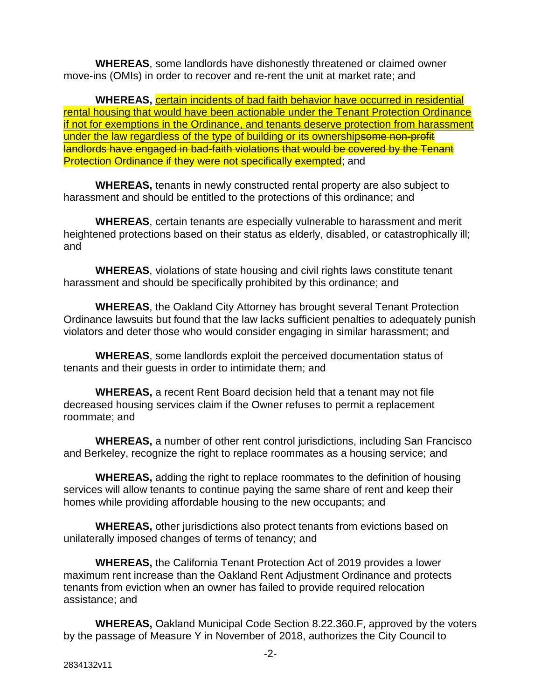**WHEREAS**, some landlords have dishonestly threatened or claimed owner move-ins (OMIs) in order to recover and re-rent the unit at market rate; and

**WHEREAS,** certain incidents of bad faith behavior have occurred in residential rental housing that would have been actionable under the Tenant Protection Ordinance if not for exemptions in the Ordinance, and tenants deserve protection from harassment under the law regardless of the type of building or its ownershipsome non-profit landlords have engaged in bad-faith violations that would be covered by the Tenant **Protection Ordinance if they were not specifically exempted**; and

**WHEREAS,** tenants in newly constructed rental property are also subject to harassment and should be entitled to the protections of this ordinance; and

**WHEREAS**, certain tenants are especially vulnerable to harassment and merit heightened protections based on their status as elderly, disabled, or catastrophically ill; and

**WHEREAS**, violations of state housing and civil rights laws constitute tenant harassment and should be specifically prohibited by this ordinance; and

**WHEREAS**, the Oakland City Attorney has brought several Tenant Protection Ordinance lawsuits but found that the law lacks sufficient penalties to adequately punish violators and deter those who would consider engaging in similar harassment; and

**WHEREAS**, some landlords exploit the perceived documentation status of tenants and their guests in order to intimidate them; and

**WHEREAS,** a recent Rent Board decision held that a tenant may not file decreased housing services claim if the Owner refuses to permit a replacement roommate; and

**WHEREAS,** a number of other rent control jurisdictions, including San Francisco and Berkeley, recognize the right to replace roommates as a housing service; and

**WHEREAS,** adding the right to replace roommates to the definition of housing services will allow tenants to continue paying the same share of rent and keep their homes while providing affordable housing to the new occupants; and

**WHEREAS,** other jurisdictions also protect tenants from evictions based on unilaterally imposed changes of terms of tenancy; and

**WHEREAS,** the California Tenant Protection Act of 2019 provides a lower maximum rent increase than the Oakland Rent Adjustment Ordinance and protects tenants from eviction when an owner has failed to provide required relocation assistance; and

**WHEREAS,** Oakland Municipal Code Section 8.22.360.F, approved by the voters by the passage of Measure Y in November of 2018, authorizes the City Council to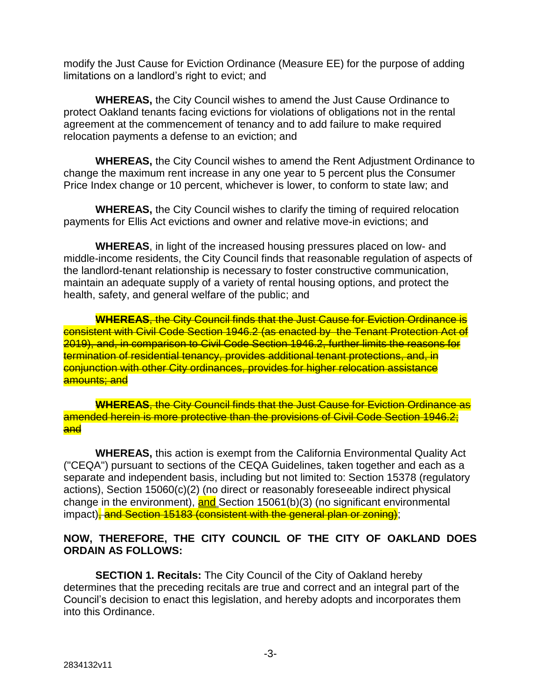modify the Just Cause for Eviction Ordinance (Measure EE) for the purpose of adding limitations on a landlord's right to evict; and

**WHEREAS,** the City Council wishes to amend the Just Cause Ordinance to protect Oakland tenants facing evictions for violations of obligations not in the rental agreement at the commencement of tenancy and to add failure to make required relocation payments a defense to an eviction; and

**WHEREAS,** the City Council wishes to amend the Rent Adjustment Ordinance to change the maximum rent increase in any one year to 5 percent plus the Consumer Price Index change or 10 percent, whichever is lower, to conform to state law; and

**WHEREAS,** the City Council wishes to clarify the timing of required relocation payments for Ellis Act evictions and owner and relative move-in evictions; and

**WHEREAS**, in light of the increased housing pressures placed on low- and middle-income residents, the City Council finds that reasonable regulation of aspects of the landlord-tenant relationship is necessary to foster constructive communication, maintain an adequate supply of a variety of rental housing options, and protect the health, safety, and general welfare of the public; and

**WHEREAS**, the City Council finds that the Just Cause for Eviction Ordinance is consistent with Civil Code Section 1946.2 (as enacted by the Tenant Protection Act of 2019), and, in comparison to Civil Code Section 1946.2, further limits the reasons for termination of residential tenancy, provides additional tenant protections, and, in conjunction with other City ordinances, provides for higher relocation assistance amounts; and

**WHEREAS**, the City Council finds that the Just Cause for Eviction Ordinance as amended herein is more protective than the provisions of Civil Code Section 1946.2; and

**WHEREAS,** this action is exempt from the California Environmental Quality Act ("CEQA") pursuant to sections of the CEQA Guidelines, taken together and each as a separate and independent basis, including but not limited to: Section 15378 (regulatory actions), Section 15060(c)(2) (no direct or reasonably foreseeable indirect physical change in the environment), and Section 15061(b)(3) (no significant environmental impact), and Section 15183 (consistent with the general plan or zoning);

### **NOW, THEREFORE, THE CITY COUNCIL OF THE CITY OF OAKLAND DOES ORDAIN AS FOLLOWS:**

**SECTION 1. Recitals:** The City Council of the City of Oakland hereby determines that the preceding recitals are true and correct and an integral part of the Council's decision to enact this legislation, and hereby adopts and incorporates them into this Ordinance.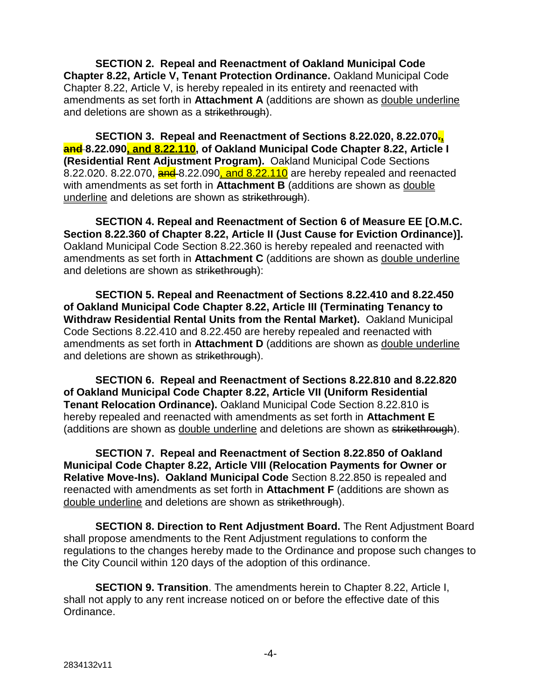**SECTION 2. Repeal and Reenactment of Oakland Municipal Code Chapter 8.22, Article V, Tenant Protection Ordinance.** Oakland Municipal Code Chapter 8.22, Article V, is hereby repealed in its entirety and reenacted with amendments as set forth in **Attachment A** (additions are shown as double underline and deletions are shown as a strikethrough).

**SECTION 3. Repeal and Reenactment of Sections 8.22.020, 8.22.070., and 8.22.090, and 8.22.110, of Oakland Municipal Code Chapter 8.22, Article I (Residential Rent Adjustment Program).** Oakland Municipal Code Sections 8.22.020. 8.22.070,  $\frac{and}{3}$  8.22.090, and 8.22.110 are hereby repealed and reenacted with amendments as set forth in **Attachment B** (additions are shown as double underline and deletions are shown as strikethrough).

**SECTION 4. Repeal and Reenactment of Section 6 of Measure EE [O.M.C. Section 8.22.360 of Chapter 8.22, Article II (Just Cause for Eviction Ordinance)].**  Oakland Municipal Code Section 8.22.360 is hereby repealed and reenacted with amendments as set forth in **Attachment C** (additions are shown as double underline and deletions are shown as strikethrough):

**SECTION 5. Repeal and Reenactment of Sections 8.22.410 and 8.22.450 of Oakland Municipal Code Chapter 8.22, Article III (Terminating Tenancy to Withdraw Residential Rental Units from the Rental Market).** Oakland Municipal Code Sections 8.22.410 and 8.22.450 are hereby repealed and reenacted with amendments as set forth in **Attachment D** (additions are shown as double underline and deletions are shown as strikethrough).

**SECTION 6. Repeal and Reenactment of Sections 8.22.810 and 8.22.820 of Oakland Municipal Code Chapter 8.22, Article VII (Uniform Residential Tenant Relocation Ordinance).** Oakland Municipal Code Section 8.22.810 is hereby repealed and reenacted with amendments as set forth in **Attachment E** (additions are shown as double underline and deletions are shown as strikethrough).

**SECTION 7. Repeal and Reenactment of Section 8.22.850 of Oakland Municipal Code Chapter 8.22, Article VIII (Relocation Payments for Owner or Relative Move-Ins). Oakland Municipal Code** Section 8.22.850 is repealed and reenacted with amendments as set forth in **Attachment F** (additions are shown as double underline and deletions are shown as strikethrough).

**SECTION 8. Direction to Rent Adjustment Board.** The Rent Adjustment Board shall propose amendments to the Rent Adjustment regulations to conform the regulations to the changes hereby made to the Ordinance and propose such changes to the City Council within 120 days of the adoption of this ordinance.

**SECTION 9. Transition**. The amendments herein to Chapter 8.22, Article I, shall not apply to any rent increase noticed on or before the effective date of this Ordinance.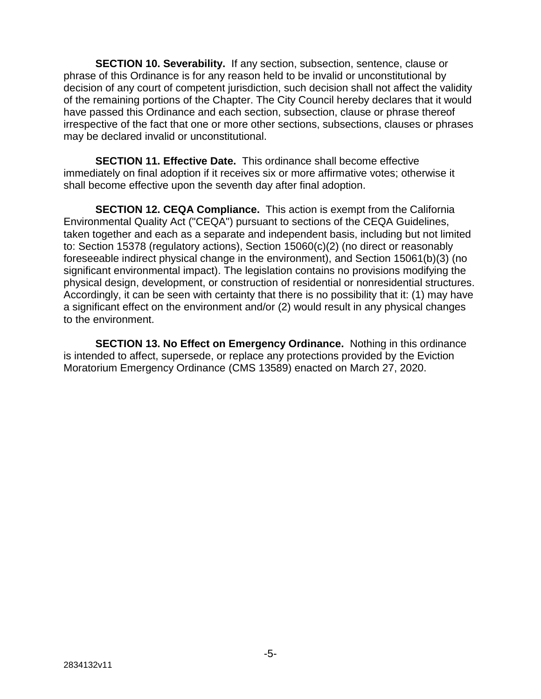**SECTION 10. Severability.** If any section, subsection, sentence, clause or phrase of this Ordinance is for any reason held to be invalid or unconstitutional by decision of any court of competent jurisdiction, such decision shall not affect the validity of the remaining portions of the Chapter. The City Council hereby declares that it would have passed this Ordinance and each section, subsection, clause or phrase thereof irrespective of the fact that one or more other sections, subsections, clauses or phrases may be declared invalid or unconstitutional.

**SECTION 11. Effective Date.** This ordinance shall become effective immediately on final adoption if it receives six or more affirmative votes; otherwise it shall become effective upon the seventh day after final adoption.

**SECTION 12. CEQA Compliance.** This action is exempt from the California Environmental Quality Act ("CEQA") pursuant to sections of the CEQA Guidelines, taken together and each as a separate and independent basis, including but not limited to: Section 15378 (regulatory actions), Section 15060(c)(2) (no direct or reasonably foreseeable indirect physical change in the environment), and Section 15061(b)(3) (no significant environmental impact). The legislation contains no provisions modifying the physical design, development, or construction of residential or nonresidential structures. Accordingly, it can be seen with certainty that there is no possibility that it: (1) may have a significant effect on the environment and/or (2) would result in any physical changes to the environment.

**SECTION 13. No Effect on Emergency Ordinance.** Nothing in this ordinance is intended to affect, supersede, or replace any protections provided by the Eviction Moratorium Emergency Ordinance (CMS 13589) enacted on March 27, 2020.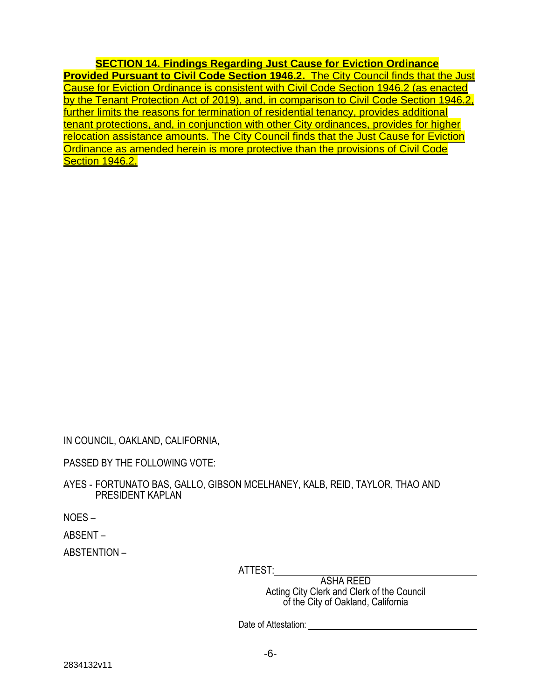**SECTION 14. Findings Regarding Just Cause for Eviction Ordinance Provided Pursuant to Civil Code Section 1946.2.** The City Council finds that the Just Cause for Eviction Ordinance is consistent with Civil Code Section 1946.2 (as enacted by the Tenant Protection Act of 2019), and, in comparison to Civil Code Section 1946.2, further limits the reasons for termination of residential tenancy, provides additional tenant protections, and, in conjunction with other City ordinances, provides for higher relocation assistance amounts. The City Council finds that the Just Cause for Eviction Ordinance as amended herein is more protective than the provisions of Civil Code Section 1946.2.

IN COUNCIL, OAKLAND, CALIFORNIA,

PASSED BY THE FOLLOWING VOTE:

AYES - FORTUNATO BAS, GALLO, GIBSON MCELHANEY, KALB, REID, TAYLOR, THAO AND PRESIDENT KAPLAN

NOES –

ABSENT –

ABSTENTION –

ATTEST:

ASHA REED Acting City Clerk and Clerk of the Council of the City of Oakland, California

Date of Attestation: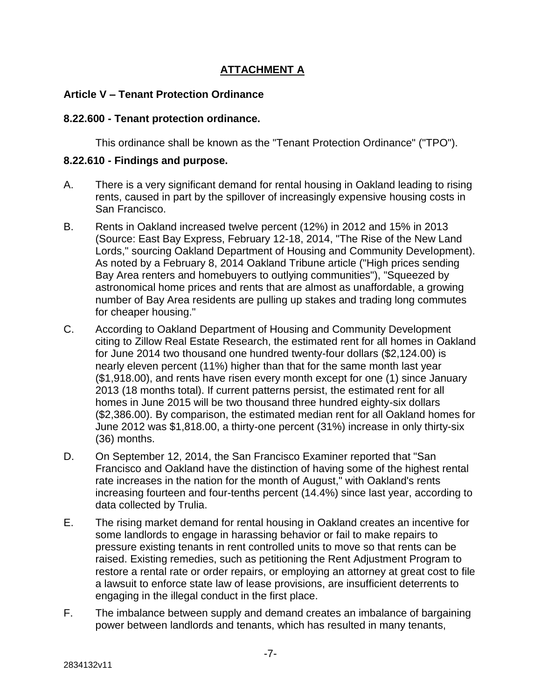# **ATTACHMENT A**

#### **Article V – Tenant Protection Ordinance**

#### **8.22.600 - Tenant protection ordinance.**

This ordinance shall be known as the "Tenant Protection Ordinance" ("TPO").

#### **8.22.610 - Findings and purpose.**

- A. There is a very significant demand for rental housing in Oakland leading to rising rents, caused in part by the spillover of increasingly expensive housing costs in San Francisco.
- B. Rents in Oakland increased twelve percent (12%) in 2012 and 15% in 2013 (Source: East Bay Express, February 12-18, 2014, "The Rise of the New Land Lords," sourcing Oakland Department of Housing and Community Development). As noted by a February 8, 2014 Oakland Tribune article ("High prices sending Bay Area renters and homebuyers to outlying communities"), "Squeezed by astronomical home prices and rents that are almost as unaffordable, a growing number of Bay Area residents are pulling up stakes and trading long commutes for cheaper housing."
- C. According to Oakland Department of Housing and Community Development citing to Zillow Real Estate Research, the estimated rent for all homes in Oakland for June 2014 two thousand one hundred twenty-four dollars (\$2,124.00) is nearly eleven percent (11%) higher than that for the same month last year (\$1,918.00), and rents have risen every month except for one (1) since January 2013 (18 months total). If current patterns persist, the estimated rent for all homes in June 2015 will be two thousand three hundred eighty-six dollars (\$2,386.00). By comparison, the estimated median rent for all Oakland homes for June 2012 was \$1,818.00, a thirty-one percent (31%) increase in only thirty-six (36) months.
- D. On September 12, 2014, the San Francisco Examiner reported that "San Francisco and Oakland have the distinction of having some of the highest rental rate increases in the nation for the month of August," with Oakland's rents increasing fourteen and four-tenths percent (14.4%) since last year, according to data collected by Trulia.
- E. The rising market demand for rental housing in Oakland creates an incentive for some landlords to engage in harassing behavior or fail to make repairs to pressure existing tenants in rent controlled units to move so that rents can be raised. Existing remedies, such as petitioning the Rent Adjustment Program to restore a rental rate or order repairs, or employing an attorney at great cost to file a lawsuit to enforce state law of lease provisions, are insufficient deterrents to engaging in the illegal conduct in the first place.
- F. The imbalance between supply and demand creates an imbalance of bargaining power between landlords and tenants, which has resulted in many tenants,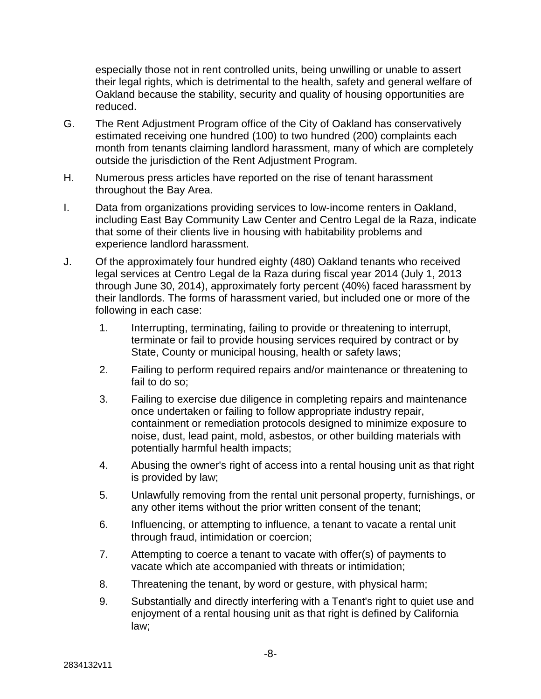especially those not in rent controlled units, being unwilling or unable to assert their legal rights, which is detrimental to the health, safety and general welfare of Oakland because the stability, security and quality of housing opportunities are reduced.

- G. The Rent Adjustment Program office of the City of Oakland has conservatively estimated receiving one hundred (100) to two hundred (200) complaints each month from tenants claiming landlord harassment, many of which are completely outside the jurisdiction of the Rent Adjustment Program.
- H. Numerous press articles have reported on the rise of tenant harassment throughout the Bay Area.
- I. Data from organizations providing services to low-income renters in Oakland, including East Bay Community Law Center and Centro Legal de la Raza, indicate that some of their clients live in housing with habitability problems and experience landlord harassment.
- J. Of the approximately four hundred eighty (480) Oakland tenants who received legal services at Centro Legal de la Raza during fiscal year 2014 (July 1, 2013 through June 30, 2014), approximately forty percent (40%) faced harassment by their landlords. The forms of harassment varied, but included one or more of the following in each case:
	- 1. Interrupting, terminating, failing to provide or threatening to interrupt, terminate or fail to provide housing services required by contract or by State, County or municipal housing, health or safety laws;
	- 2. Failing to perform required repairs and/or maintenance or threatening to fail to do so;
	- 3. Failing to exercise due diligence in completing repairs and maintenance once undertaken or failing to follow appropriate industry repair, containment or remediation protocols designed to minimize exposure to noise, dust, lead paint, mold, asbestos, or other building materials with potentially harmful health impacts;
	- 4. Abusing the owner's right of access into a rental housing unit as that right is provided by law;
	- 5. Unlawfully removing from the rental unit personal property, furnishings, or any other items without the prior written consent of the tenant;
	- 6. Influencing, or attempting to influence, a tenant to vacate a rental unit through fraud, intimidation or coercion;
	- 7. Attempting to coerce a tenant to vacate with offer(s) of payments to vacate which ate accompanied with threats or intimidation;
	- 8. Threatening the tenant, by word or gesture, with physical harm;
	- 9. Substantially and directly interfering with a Tenant's right to quiet use and enjoyment of a rental housing unit as that right is defined by California law;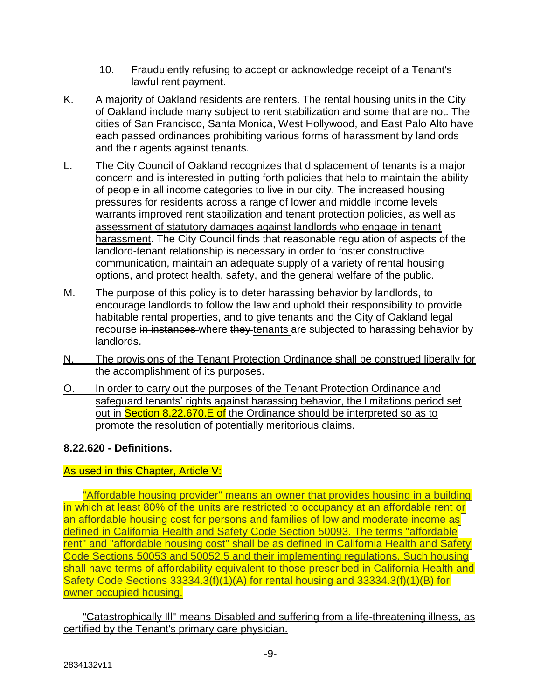- 10. Fraudulently refusing to accept or acknowledge receipt of a Tenant's lawful rent payment.
- K. A majority of Oakland residents are renters. The rental housing units in the City of Oakland include many subject to rent stabilization and some that are not. The cities of San Francisco, Santa Monica, West Hollywood, and East Palo Alto have each passed ordinances prohibiting various forms of harassment by landlords and their agents against tenants.
- L. The City Council of Oakland recognizes that displacement of tenants is a major concern and is interested in putting forth policies that help to maintain the ability of people in all income categories to live in our city. The increased housing pressures for residents across a range of lower and middle income levels warrants improved rent stabilization and tenant protection policies, as well as assessment of statutory damages against landlords who engage in tenant harassment. The City Council finds that reasonable regulation of aspects of the landlord-tenant relationship is necessary in order to foster constructive communication, maintain an adequate supply of a variety of rental housing options, and protect health, safety, and the general welfare of the public.
- M. The purpose of this policy is to deter harassing behavior by landlords, to encourage landlords to follow the law and uphold their responsibility to provide habitable rental properties, and to give tenants and the City of Oakland legal recourse in instances where they tenants are subjected to harassing behavior by landlords.
- N. The provisions of the Tenant Protection Ordinance shall be construed liberally for the accomplishment of its purposes.
- O. In order to carry out the purposes of the Tenant Protection Ordinance and safeguard tenants' rights against harassing behavior, the limitations period set out in **Section 8.22.670.E of** the Ordinance should be interpreted so as to promote the resolution of potentially meritorious claims.

### **8.22.620 - Definitions.**

### As used in this Chapter, Article V:

"Affordable housing provider" means an owner that provides housing in a building in which at least 80% of the units are restricted to occupancy at an affordable rent or an affordable housing cost for persons and families of low and moderate income as defined in California Health and Safety Code Section 50093. The terms "affordable rent" and "affordable housing cost" shall be as defined in California Health and Safety Code Sections 50053 and 50052.5 and their implementing regulations. Such housing shall have terms of affordability equivalent to those prescribed in California Health and Safety Code Sections 33334.3(f)(1)(A) for rental housing and 33334.3(f)(1)(B) for owner occupied housing.

"Catastrophically Ill" means Disabled and suffering from a life-threatening illness, as certified by the Tenant's primary care physician.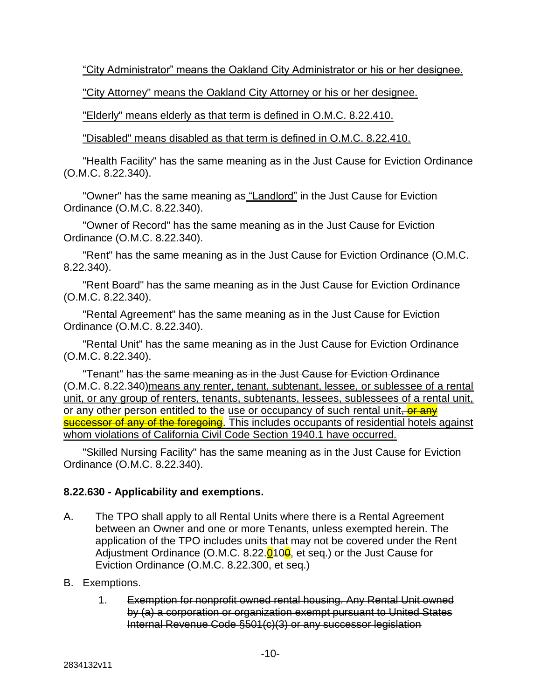"City Administrator" means the Oakland City Administrator or his or her designee.

"City Attorney" means the Oakland City Attorney or his or her designee.

"Elderly" means elderly as that term is defined in O.M.C. 8.22.410.

"Disabled" means disabled as that term is defined in O.M.C. 8.22.410.

"Health Facility" has the same meaning as in the Just Cause for Eviction Ordinance (O.M.C. 8.22.340).

"Owner" has the same meaning as "Landlord" in the Just Cause for Eviction Ordinance (O.M.C. 8.22.340).

"Owner of Record" has the same meaning as in the Just Cause for Eviction Ordinance (O.M.C. 8.22.340).

"Rent" has the same meaning as in the Just Cause for Eviction Ordinance (O.M.C. 8.22.340).

"Rent Board" has the same meaning as in the Just Cause for Eviction Ordinance (O.M.C. 8.22.340).

"Rental Agreement" has the same meaning as in the Just Cause for Eviction Ordinance (O.M.C. 8.22.340).

"Rental Unit" has the same meaning as in the Just Cause for Eviction Ordinance (O.M.C. 8.22.340).

"Tenant" has the same meaning as in the Just Cause for Eviction Ordinance (O.M.C. 8.22.340)means any renter, tenant, subtenant, lessee, or sublessee of a rental unit, or any group of renters, tenants, subtenants, lessees, sublessees of a rental unit, or any other person entitled to the use or occupancy of such rental unit, or any successor of any of the foregoing. This includes occupants of residential hotels against whom violations of California Civil Code Section 1940.1 have occurred.

"Skilled Nursing Facility" has the same meaning as in the Just Cause for Eviction Ordinance (O.M.C. 8.22.340).

### **8.22.630 - Applicability and exemptions.**

- A. The TPO shall apply to all Rental Units where there is a Rental Agreement between an Owner and one or more Tenants, unless exempted herein. The application of the TPO includes units that may not be covered under the Rent Adjustment Ordinance (O.M.C. 8.22. $Q$ 10 $\theta$ , et seq.) or the Just Cause for Eviction Ordinance (O.M.C. 8.22.300, et seq.)
- B. Exemptions.
	- 1. Exemption for nonprofit owned rental housing. Any Rental Unit owned by (a) a corporation or organization exempt pursuant to United States Internal Revenue Code §501(c)(3) or any successor legislation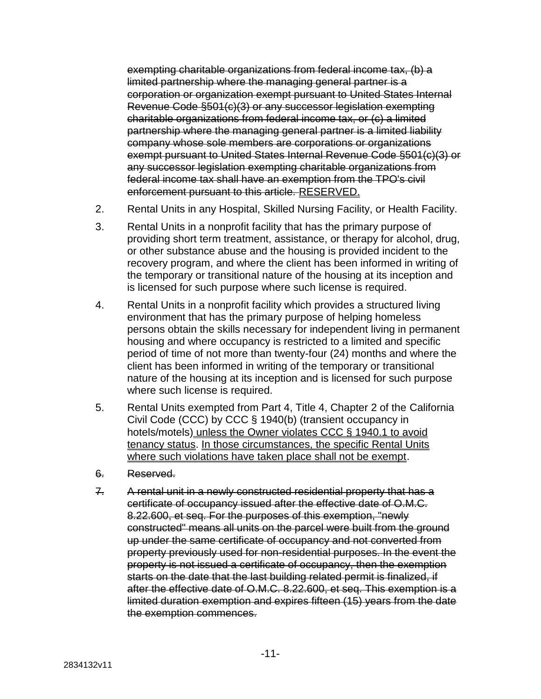exempting charitable organizations from federal income tax, (b) a limited partnership where the managing general partner is a corporation or organization exempt pursuant to United States Internal Revenue Code §501(c)(3) or any successor legislation exempting charitable organizations from federal income tax, or (c) a limited partnership where the managing general partner is a limited liability company whose sole members are corporations or organizations exempt pursuant to United States Internal Revenue Code §501(c)(3) or any successor legislation exempting charitable organizations from federal income tax shall have an exemption from the TPO's civil enforcement pursuant to this article. RESERVED.

- 2. Rental Units in any Hospital, Skilled Nursing Facility, or Health Facility.
- 3. Rental Units in a nonprofit facility that has the primary purpose of providing short term treatment, assistance, or therapy for alcohol, drug, or other substance abuse and the housing is provided incident to the recovery program, and where the client has been informed in writing of the temporary or transitional nature of the housing at its inception and is licensed for such purpose where such license is required.
- 4. Rental Units in a nonprofit facility which provides a structured living environment that has the primary purpose of helping homeless persons obtain the skills necessary for independent living in permanent housing and where occupancy is restricted to a limited and specific period of time of not more than twenty-four (24) months and where the client has been informed in writing of the temporary or transitional nature of the housing at its inception and is licensed for such purpose where such license is required.
- 5. Rental Units exempted from Part 4, Title 4, Chapter 2 of the California Civil Code (CCC) by CCC § 1940(b) (transient occupancy in hotels/motels) unless the Owner violates CCC § 1940.1 to avoid tenancy status. In those circumstances, the specific Rental Units where such violations have taken place shall not be exempt.
- 6. Reserved.
- 7. A rental unit in a newly constructed residential property that has a certificate of occupancy issued after the effective date of O.M.C. 8.22.600, et seq. For the purposes of this exemption, "newly constructed" means all units on the parcel were built from the ground up under the same certificate of occupancy and not converted from property previously used for non-residential purposes. In the event the property is not issued a certificate of occupancy, then the exemption starts on the date that the last building related permit is finalized, if after the effective date of O.M.C. 8.22.600, et seq. This exemption is a limited duration exemption and expires fifteen (15) years from the date the exemption commences.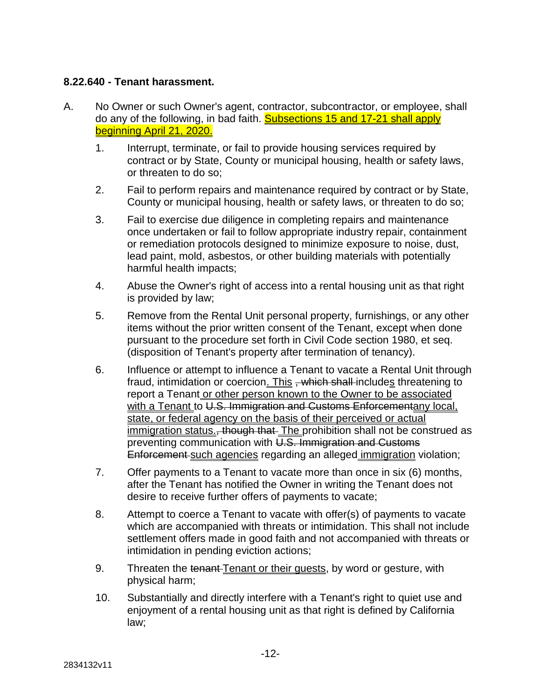#### **8.22.640 - Tenant harassment.**

- A. No Owner or such Owner's agent, contractor, subcontractor, or employee, shall do any of the following, in bad faith. **Subsections 15 and 17-21 shall apply** beginning April 21, 2020.
	- 1. Interrupt, terminate, or fail to provide housing services required by contract or by State, County or municipal housing, health or safety laws, or threaten to do so;
	- 2. Fail to perform repairs and maintenance required by contract or by State, County or municipal housing, health or safety laws, or threaten to do so;
	- 3. Fail to exercise due diligence in completing repairs and maintenance once undertaken or fail to follow appropriate industry repair, containment or remediation protocols designed to minimize exposure to noise, dust, lead paint, mold, asbestos, or other building materials with potentially harmful health impacts;
	- 4. Abuse the Owner's right of access into a rental housing unit as that right is provided by law;
	- 5. Remove from the Rental Unit personal property, furnishings, or any other items without the prior written consent of the Tenant, except when done pursuant to the procedure set forth in Civil Code section 1980, et seq. (disposition of Tenant's property after termination of tenancy).
	- 6. Influence or attempt to influence a Tenant to vacate a Rental Unit through fraud, intimidation or coercion. This , which shall includes threatening to report a Tenant or other person known to the Owner to be associated with a Tenant to U.S. Immigration and Customs Enforcementany local, state, or federal agency on the basis of their perceived or actual immigration status., though that The prohibition shall not be construed as preventing communication with U.S. Immigration and Customs Enforcement such agencies regarding an alleged immigration violation;
	- 7. Offer payments to a Tenant to vacate more than once in six (6) months, after the Tenant has notified the Owner in writing the Tenant does not desire to receive further offers of payments to vacate;
	- 8. Attempt to coerce a Tenant to vacate with offer(s) of payments to vacate which are accompanied with threats or intimidation. This shall not include settlement offers made in good faith and not accompanied with threats or intimidation in pending eviction actions;
	- 9. Threaten the tenant Tenant or their guests, by word or gesture, with physical harm;
	- 10. Substantially and directly interfere with a Tenant's right to quiet use and enjoyment of a rental housing unit as that right is defined by California law;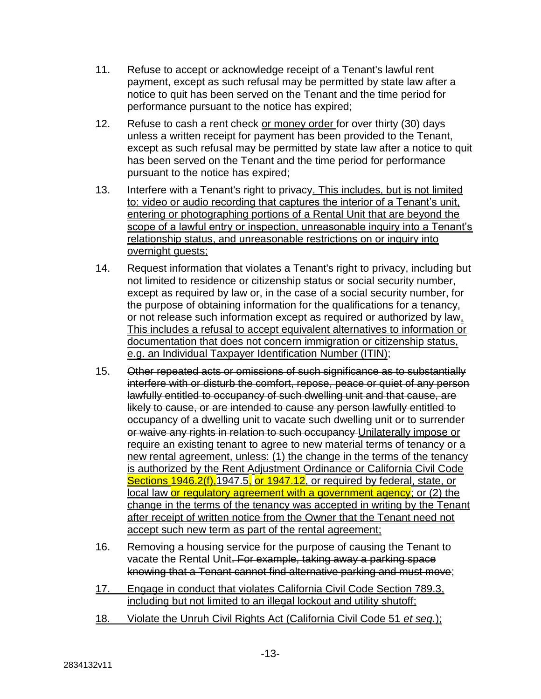- 11. Refuse to accept or acknowledge receipt of a Tenant's lawful rent payment, except as such refusal may be permitted by state law after a notice to quit has been served on the Tenant and the time period for performance pursuant to the notice has expired;
- 12. Refuse to cash a rent check or money order for over thirty (30) days unless a written receipt for payment has been provided to the Tenant, except as such refusal may be permitted by state law after a notice to quit has been served on the Tenant and the time period for performance pursuant to the notice has expired;
- 13. Interfere with a Tenant's right to privacy. This includes, but is not limited to: video or audio recording that captures the interior of a Tenant's unit, entering or photographing portions of a Rental Unit that are beyond the scope of a lawful entry or inspection, unreasonable inquiry into a Tenant's relationship status, and unreasonable restrictions on or inquiry into overnight guests;
- 14. Request information that violates a Tenant's right to privacy, including but not limited to residence or citizenship status or social security number, except as required by law or, in the case of a social security number, for the purpose of obtaining information for the qualifications for a tenancy, or not release such information except as required or authorized by law. This includes a refusal to accept equivalent alternatives to information or documentation that does not concern immigration or citizenship status, e.g. an Individual Taxpayer Identification Number (ITIN);
- 15. Other repeated acts or omissions of such significance as to substantially interfere with or disturb the comfort, repose, peace or quiet of any person lawfully entitled to occupancy of such dwelling unit and that cause, are likely to cause, or are intended to cause any person lawfully entitled to occupancy of a dwelling unit to vacate such dwelling unit or to surrender or waive any rights in relation to such occupancy Unilaterally impose or require an existing tenant to agree to new material terms of tenancy or a new rental agreement, unless: (1) the change in the terms of the tenancy is authorized by the Rent Adjustment Ordinance or California Civil Code Sections 1946.2(f), 1947.5, or 1947.12, or required by federal, state, or local law or regulatory agreement with a government agency; or (2) the change in the terms of the tenancy was accepted in writing by the Tenant after receipt of written notice from the Owner that the Tenant need not accept such new term as part of the rental agreement;
- 16. Removing a housing service for the purpose of causing the Tenant to vacate the Rental Unit. For example, taking away a parking space knowing that a Tenant cannot find alternative parking and must move;
- 17. Engage in conduct that violates California Civil Code Section 789.3. including but not limited to an illegal lockout and utility shutoff;
- 18. Violate the Unruh Civil Rights Act (California Civil Code 51 *et seq.*);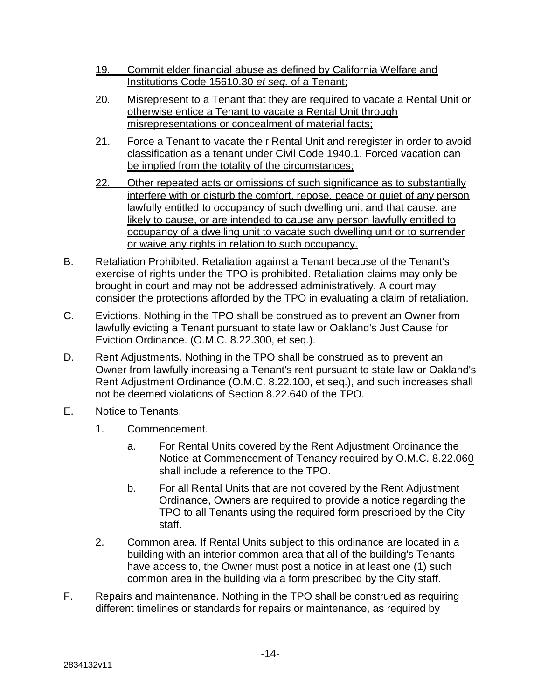- 19. Commit elder financial abuse as defined by California Welfare and Institutions Code 15610.30 *et seq.* of a Tenant;
- 20. Misrepresent to a Tenant that they are required to vacate a Rental Unit or otherwise entice a Tenant to vacate a Rental Unit through misrepresentations or concealment of material facts;
- 21. Force a Tenant to vacate their Rental Unit and reregister in order to avoid classification as a tenant under Civil Code 1940.1. Forced vacation can be implied from the totality of the circumstances;
- 22. Other repeated acts or omissions of such significance as to substantially interfere with or disturb the comfort, repose, peace or quiet of any person lawfully entitled to occupancy of such dwelling unit and that cause, are likely to cause, or are intended to cause any person lawfully entitled to occupancy of a dwelling unit to vacate such dwelling unit or to surrender or waive any rights in relation to such occupancy.
- B. Retaliation Prohibited. Retaliation against a Tenant because of the Tenant's exercise of rights under the TPO is prohibited. Retaliation claims may only be brought in court and may not be addressed administratively. A court may consider the protections afforded by the TPO in evaluating a claim of retaliation.
- C. Evictions. Nothing in the TPO shall be construed as to prevent an Owner from lawfully evicting a Tenant pursuant to state law or Oakland's Just Cause for Eviction Ordinance. (O.M.C. 8.22.300, et seq.).
- D. Rent Adjustments. Nothing in the TPO shall be construed as to prevent an Owner from lawfully increasing a Tenant's rent pursuant to state law or Oakland's Rent Adjustment Ordinance (O.M.C. 8.22.100, et seq.), and such increases shall not be deemed violations of Section 8.22.640 of the TPO.
- E. Notice to Tenants.
	- 1. Commencement.
		- a. For Rental Units covered by the Rent Adjustment Ordinance the Notice at Commencement of Tenancy required by O.M.C. 8.22.060 shall include a reference to the TPO.
		- b. For all Rental Units that are not covered by the Rent Adjustment Ordinance, Owners are required to provide a notice regarding the TPO to all Tenants using the required form prescribed by the City staff.
	- 2. Common area. If Rental Units subject to this ordinance are located in a building with an interior common area that all of the building's Tenants have access to, the Owner must post a notice in at least one (1) such common area in the building via a form prescribed by the City staff.
- F. Repairs and maintenance. Nothing in the TPO shall be construed as requiring different timelines or standards for repairs or maintenance, as required by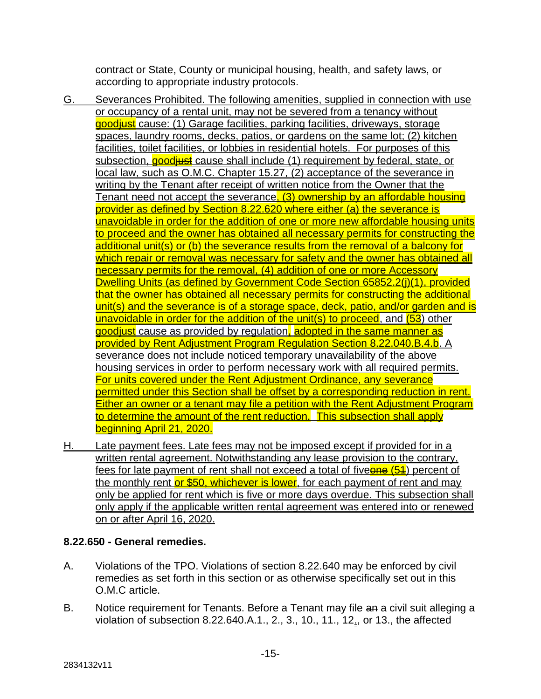contract or State, County or municipal housing, health, and safety laws, or according to appropriate industry protocols.

- G. Severances Prohibited. The following amenities, supplied in connection with use or occupancy of a rental unit, may not be severed from a tenancy without goodiust cause: (1) Garage facilities, parking facilities, driveways, storage spaces, laundry rooms, decks, patios, or gardens on the same lot; (2) kitchen facilities, toilet facilities, or lobbies in residential hotels. For purposes of this subsection, **goodiust** cause shall include (1) requirement by federal, state, or local law, such as O.M.C. Chapter 15.27, (2) acceptance of the severance in writing by the Tenant after receipt of written notice from the Owner that the Tenant need not accept the severance, (3) ownership by an affordable housing provider as defined by Section 8.22.620 where either (a) the severance is unavoidable in order for the addition of one or more new affordable housing units to proceed and the owner has obtained all necessary permits for constructing the additional unit(s) or (b) the severance results from the removal of a balcony for which repair or removal was necessary for safety and the owner has obtained all necessary permits for the removal, (4) addition of one or more Accessory Dwelling Units (as defined by Government Code Section 65852.2(j)(1), provided that the owner has obtained all necessary permits for constructing the additional unit(s) and the severance is of a storage space, deck, patio, and/or garden and is unavoidable in order for the addition of the unit(s) to proceed, and  $(53)$  other goodiust cause as provided by regulation, adopted in the same manner as provided by Rent Adjustment Program Regulation Section 8.22.040.B.4.b. A severance does not include noticed temporary unavailability of the above housing services in order to perform necessary work with all required permits. For units covered under the Rent Adjustment Ordinance, any severance permitted under this Section shall be offset by a corresponding reduction in rent. Either an owner or a tenant may file a petition with the Rent Adjustment Program to determine the amount of the rent reduction. This subsection shall apply beginning April 21, 2020.
- H. Late payment fees. Late fees may not be imposed except if provided for in a written rental agreement. Notwithstanding any lease provision to the contrary, fees for late payment of rent shall not exceed a total of fiveone (54) percent of the monthly rent or \$50, whichever is lower, for each payment of rent and may only be applied for rent which is five or more days overdue. This subsection shall only apply if the applicable written rental agreement was entered into or renewed on or after April 16, 2020.

### **8.22.650 - General remedies.**

- A. Violations of the TPO. Violations of section 8.22.640 may be enforced by civil remedies as set forth in this section or as otherwise specifically set out in this O.M.C article.
- B. Notice requirement for Tenants. Before a Tenant may file an a civil suit alleging a violation of subsection 8.22.640.A.1., 2., 3., 10., 11., 12., or 13., the affected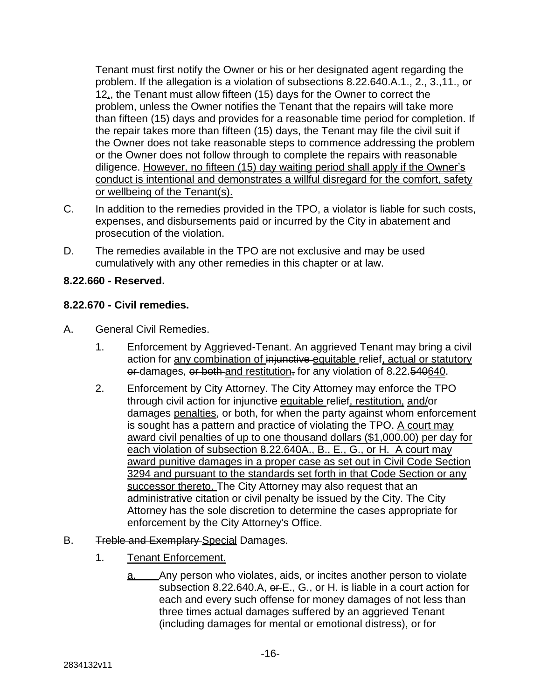Tenant must first notify the Owner or his or her designated agent regarding the problem. If the allegation is a violation of subsections 8.22.640.A.1., 2., 3.,11., or 12., the Tenant must allow fifteen (15) days for the Owner to correct the problem, unless the Owner notifies the Tenant that the repairs will take more than fifteen (15) days and provides for a reasonable time period for completion. If the repair takes more than fifteen (15) days, the Tenant may file the civil suit if the Owner does not take reasonable steps to commence addressing the problem or the Owner does not follow through to complete the repairs with reasonable diligence. However, no fifteen (15) day waiting period shall apply if the Owner's conduct is intentional and demonstrates a willful disregard for the comfort, safety or wellbeing of the Tenant(s).

- C. In addition to the remedies provided in the TPO, a violator is liable for such costs, expenses, and disbursements paid or incurred by the City in abatement and prosecution of the violation.
- D. The remedies available in the TPO are not exclusive and may be used cumulatively with any other remedies in this chapter or at law.

# **8.22.660 - Reserved.**

### **8.22.670 - Civil remedies.**

- A. General Civil Remedies.
	- 1. Enforcement by Aggrieved-Tenant. An aggrieved Tenant may bring a civil action for any combination of injunctive equitable relief, actual or statutory or damages, or both and restitution, for any violation of 8.22.540640.
	- 2. Enforcement by City Attorney. The City Attorney may enforce the TPO through civil action for injunctive equitable relief, restitution, and/or damages-penalties, or both, for when the party against whom enforcement is sought has a pattern and practice of violating the TPO. A court may award civil penalties of up to one thousand dollars (\$1,000.00) per day for each violation of subsection 8.22.640A., B., E., G., or H. A court may award punitive damages in a proper case as set out in Civil Code Section 3294 and pursuant to the standards set forth in that Code Section or any successor thereto. The City Attorney may also request that an administrative citation or civil penalty be issued by the City. The City Attorney has the sole discretion to determine the cases appropriate for enforcement by the City Attorney's Office.
- B. Treble and Exemplary Special Damages.
	- 1. Tenant Enforcement.
		- a. Any person who violates, aids, or incites another person to violate subsection 8.22.640.A, or E., G., or H. is liable in a court action for each and every such offense for money damages of not less than three times actual damages suffered by an aggrieved Tenant (including damages for mental or emotional distress), or for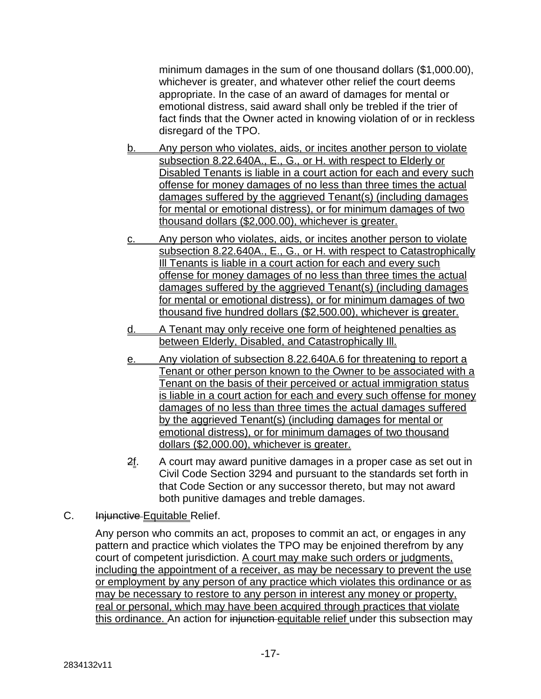minimum damages in the sum of one thousand dollars (\$1,000.00), whichever is greater, and whatever other relief the court deems appropriate. In the case of an award of damages for mental or emotional distress, said award shall only be trebled if the trier of fact finds that the Owner acted in knowing violation of or in reckless disregard of the TPO.

- b. Any person who violates, aids, or incites another person to violate subsection 8.22.640A., E., G., or H. with respect to Elderly or Disabled Tenants is liable in a court action for each and every such offense for money damages of no less than three times the actual damages suffered by the aggrieved Tenant(s) (including damages for mental or emotional distress), or for minimum damages of two thousand dollars (\$2,000.00), whichever is greater.
- c. Any person who violates, aids, or incites another person to violate subsection 8.22.640A., E., G., or H. with respect to Catastrophically Ill Tenants is liable in a court action for each and every such offense for money damages of no less than three times the actual damages suffered by the aggrieved Tenant(s) (including damages for mental or emotional distress), or for minimum damages of two thousand five hundred dollars (\$2,500.00), whichever is greater.
- d. A Tenant may only receive one form of heightened penalties as between Elderly, Disabled, and Catastrophically Ill.
- e. Any violation of subsection 8.22.640A.6 for threatening to report a Tenant or other person known to the Owner to be associated with a Tenant on the basis of their perceived or actual immigration status is liable in a court action for each and every such offense for money damages of no less than three times the actual damages suffered by the aggrieved Tenant(s) (including damages for mental or emotional distress), or for minimum damages of two thousand dollars (\$2,000.00), whichever is greater.
- 2f. A court may award punitive damages in a proper case as set out in Civil Code Section 3294 and pursuant to the standards set forth in that Code Section or any successor thereto, but may not award both punitive damages and treble damages.
- C. Injunctive Equitable Relief.

Any person who commits an act, proposes to commit an act, or engages in any pattern and practice which violates the TPO may be enjoined therefrom by any court of competent jurisdiction. A court may make such orders or judgments, including the appointment of a receiver, as may be necessary to prevent the use or employment by any person of any practice which violates this ordinance or as may be necessary to restore to any person in interest any money or property, real or personal, which may have been acquired through practices that violate this ordinance. An action for injunction equitable relief under this subsection may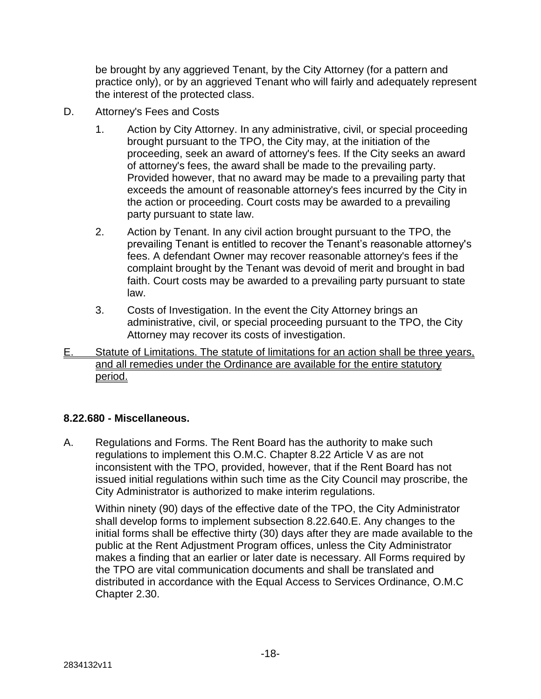be brought by any aggrieved Tenant, by the City Attorney (for a pattern and practice only), or by an aggrieved Tenant who will fairly and adequately represent the interest of the protected class.

- D. Attorney's Fees and Costs
	- 1. Action by City Attorney. In any administrative, civil, or special proceeding brought pursuant to the TPO, the City may, at the initiation of the proceeding, seek an award of attorney's fees. If the City seeks an award of attorney's fees, the award shall be made to the prevailing party. Provided however, that no award may be made to a prevailing party that exceeds the amount of reasonable attorney's fees incurred by the City in the action or proceeding. Court costs may be awarded to a prevailing party pursuant to state law.
	- 2. Action by Tenant. In any civil action brought pursuant to the TPO, the prevailing Tenant is entitled to recover the Tenant's reasonable attorney's fees. A defendant Owner may recover reasonable attorney's fees if the complaint brought by the Tenant was devoid of merit and brought in bad faith. Court costs may be awarded to a prevailing party pursuant to state law.
	- 3. Costs of Investigation. In the event the City Attorney brings an administrative, civil, or special proceeding pursuant to the TPO, the City Attorney may recover its costs of investigation.
- E. Statute of Limitations. The statute of limitations for an action shall be three years, and all remedies under the Ordinance are available for the entire statutory period.

### **8.22.680 - Miscellaneous.**

A. Regulations and Forms. The Rent Board has the authority to make such regulations to implement this O.M.C. Chapter 8.22 Article V as are not inconsistent with the TPO, provided, however, that if the Rent Board has not issued initial regulations within such time as the City Council may proscribe, the City Administrator is authorized to make interim regulations.

Within ninety (90) days of the effective date of the TPO, the City Administrator shall develop forms to implement subsection 8.22.640.E. Any changes to the initial forms shall be effective thirty (30) days after they are made available to the public at the Rent Adjustment Program offices, unless the City Administrator makes a finding that an earlier or later date is necessary. All Forms required by the TPO are vital communication documents and shall be translated and distributed in accordance with the Equal Access to Services Ordinance, O.M.C Chapter 2.30.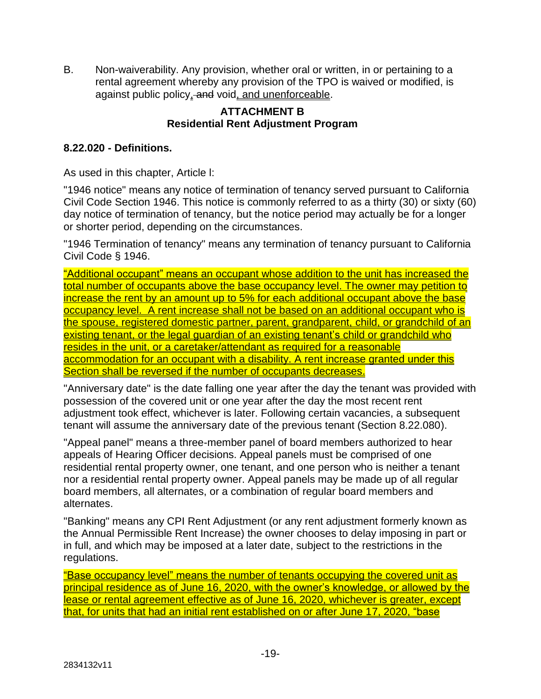B. Non-waiverability. Any provision, whether oral or written, in or pertaining to a rental agreement whereby any provision of the TPO is waived or modified, is against public policy, and void, and unenforceable.

# **ATTACHMENT B Residential Rent Adjustment Program**

# **8.22.020 - Definitions.**

As used in this chapter, Article l:

"1946 notice" means any notice of termination of tenancy served pursuant to California Civil Code Section 1946. This notice is commonly referred to as a thirty (30) or sixty (60) day notice of termination of tenancy, but the notice period may actually be for a longer or shorter period, depending on the circumstances.

"1946 Termination of tenancy" means any termination of tenancy pursuant to California Civil Code § 1946.

"Additional occupant" means an occupant whose addition to the unit has increased the total number of occupants above the base occupancy level. The owner may petition to increase the rent by an amount up to 5% for each additional occupant above the base occupancy level. A rent increase shall not be based on an additional occupant who is the spouse, registered domestic partner, parent, grandparent, child, or grandchild of an existing tenant, or the legal guardian of an existing tenant's child or grandchild who resides in the unit, or a caretaker/attendant as required for a reasonable accommodation for an occupant with a disability. A rent increase granted under this Section shall be reversed if the number of occupants decreases.

"Anniversary date" is the date falling one year after the day the tenant was provided with possession of the covered unit or one year after the day the most recent rent adjustment took effect, whichever is later. Following certain vacancies, a subsequent tenant will assume the anniversary date of the previous tenant (Section 8.22.080).

"Appeal panel" means a three-member panel of board members authorized to hear appeals of Hearing Officer decisions. Appeal panels must be comprised of one residential rental property owner, one tenant, and one person who is neither a tenant nor a residential rental property owner. Appeal panels may be made up of all regular board members, all alternates, or a combination of regular board members and alternates.

"Banking" means any CPI Rent Adjustment (or any rent adjustment formerly known as the Annual Permissible Rent Increase) the owner chooses to delay imposing in part or in full, and which may be imposed at a later date, subject to the restrictions in the regulations.

"Base occupancy level" means the number of tenants occupying the covered unit as principal residence as of June 16, 2020, with the owner's knowledge, or allowed by the lease or rental agreement effective as of June 16, 2020, whichever is greater, except that, for units that had an initial rent established on or after June 17, 2020, "base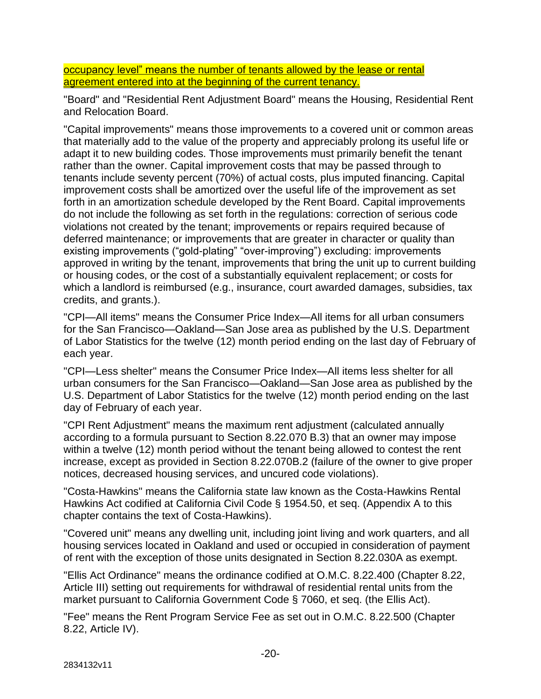occupancy level" means the number of tenants allowed by the lease or rental agreement entered into at the beginning of the current tenancy.

"Board" and "Residential Rent Adjustment Board" means the Housing, Residential Rent and Relocation Board.

"Capital improvements" means those improvements to a covered unit or common areas that materially add to the value of the property and appreciably prolong its useful life or adapt it to new building codes. Those improvements must primarily benefit the tenant rather than the owner. Capital improvement costs that may be passed through to tenants include seventy percent (70%) of actual costs, plus imputed financing. Capital improvement costs shall be amortized over the useful life of the improvement as set forth in an amortization schedule developed by the Rent Board. Capital improvements do not include the following as set forth in the regulations: correction of serious code violations not created by the tenant; improvements or repairs required because of deferred maintenance; or improvements that are greater in character or quality than existing improvements ("gold-plating" "over-improving") excluding: improvements approved in writing by the tenant, improvements that bring the unit up to current building or housing codes, or the cost of a substantially equivalent replacement; or costs for which a landlord is reimbursed (e.g., insurance, court awarded damages, subsidies, tax credits, and grants.).

"CPI—All items" means the Consumer Price Index—All items for all urban consumers for the San Francisco—Oakland—San Jose area as published by the U.S. Department of Labor Statistics for the twelve (12) month period ending on the last day of February of each year.

"CPI—Less shelter" means the Consumer Price Index—All items less shelter for all urban consumers for the San Francisco—Oakland—San Jose area as published by the U.S. Department of Labor Statistics for the twelve (12) month period ending on the last day of February of each year.

"CPI Rent Adjustment" means the maximum rent adjustment (calculated annually according to a formula pursuant to Section 8.22.070 B.3) that an owner may impose within a twelve (12) month period without the tenant being allowed to contest the rent increase, except as provided in Section 8.22.070B.2 (failure of the owner to give proper notices, decreased housing services, and uncured code violations).

"Costa-Hawkins" means the California state law known as the Costa-Hawkins Rental Hawkins Act codified at California Civil Code § 1954.50, et seq. (Appendix A to this chapter contains the text of Costa-Hawkins).

"Covered unit" means any dwelling unit, including joint living and work quarters, and all housing services located in Oakland and used or occupied in consideration of payment of rent with the exception of those units designated in Section 8.22.030A as exempt.

"Ellis Act Ordinance" means the ordinance codified at O.M.C. 8.22.400 (Chapter 8.22, Article III) setting out requirements for withdrawal of residential rental units from the market pursuant to California Government Code § 7060, et seq. (the Ellis Act).

"Fee" means the Rent Program Service Fee as set out in O.M.C. 8.22.500 (Chapter 8.22, Article IV).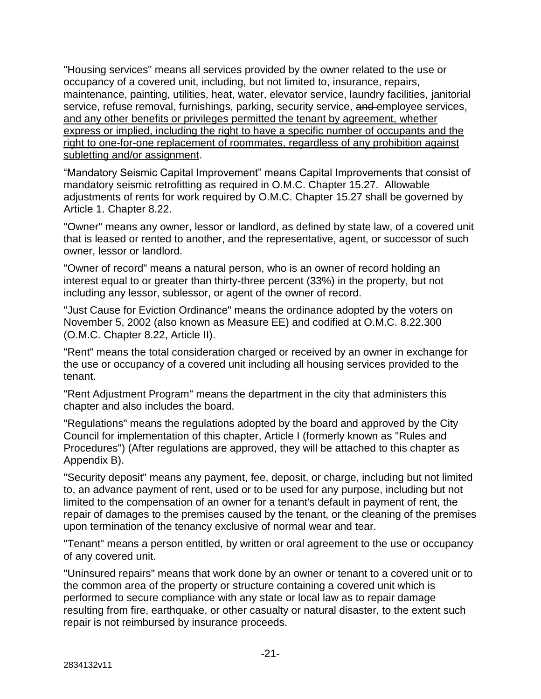"Housing services" means all services provided by the owner related to the use or occupancy of a covered unit, including, but not limited to, insurance, repairs, maintenance, painting, utilities, heat, water, elevator service, laundry facilities, janitorial service, refuse removal, furnishings, parking, security service, and employee services, and any other benefits or privileges permitted the tenant by agreement, whether express or implied, including the right to have a specific number of occupants and the right to one-for-one replacement of roommates, regardless of any prohibition against subletting and/or assignment.

"Mandatory Seismic Capital Improvement" means Capital Improvements that consist of mandatory seismic retrofitting as required in O.M.C. Chapter 15.27. Allowable adjustments of rents for work required by O.M.C. Chapter 15.27 shall be governed by Article 1. Chapter 8.22.

"Owner" means any owner, lessor or landlord, as defined by state law, of a covered unit that is leased or rented to another, and the representative, agent, or successor of such owner, lessor or landlord.

"Owner of record" means a natural person, who is an owner of record holding an interest equal to or greater than thirty-three percent (33%) in the property, but not including any lessor, sublessor, or agent of the owner of record.

"Just Cause for Eviction Ordinance" means the ordinance adopted by the voters on November 5, 2002 (also known as Measure EE) and codified at O.M.C. 8.22.300 (O.M.C. Chapter 8.22, Article II).

"Rent" means the total consideration charged or received by an owner in exchange for the use or occupancy of a covered unit including all housing services provided to the tenant.

"Rent Adjustment Program" means the department in the city that administers this chapter and also includes the board.

"Regulations" means the regulations adopted by the board and approved by the City Council for implementation of this chapter, Article I (formerly known as "Rules and Procedures") (After regulations are approved, they will be attached to this chapter as Appendix B).

"Security deposit" means any payment, fee, deposit, or charge, including but not limited to, an advance payment of rent, used or to be used for any purpose, including but not limited to the compensation of an owner for a tenant's default in payment of rent, the repair of damages to the premises caused by the tenant, or the cleaning of the premises upon termination of the tenancy exclusive of normal wear and tear.

"Tenant" means a person entitled, by written or oral agreement to the use or occupancy of any covered unit.

"Uninsured repairs" means that work done by an owner or tenant to a covered unit or to the common area of the property or structure containing a covered unit which is performed to secure compliance with any state or local law as to repair damage resulting from fire, earthquake, or other casualty or natural disaster, to the extent such repair is not reimbursed by insurance proceeds.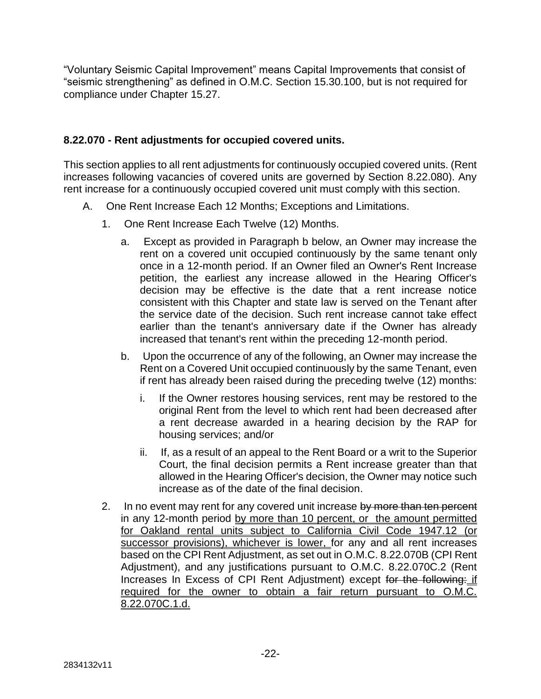"Voluntary Seismic Capital Improvement" means Capital Improvements that consist of "seismic strengthening" as defined in O.M.C. Section 15.30.100, but is not required for compliance under Chapter 15.27.

# **8.22.070 - Rent adjustments for occupied covered units.**

This section applies to all rent adjustments for continuously occupied covered units. (Rent increases following vacancies of covered units are governed by Section 8.22.080). Any rent increase for a continuously occupied covered unit must comply with this section.

- A. One Rent Increase Each 12 Months; Exceptions and Limitations.
	- 1. One Rent Increase Each Twelve (12) Months.
		- a. Except as provided in Paragraph b below, an Owner may increase the rent on a covered unit occupied continuously by the same tenant only once in a 12-month period. If an Owner filed an Owner's Rent Increase petition, the earliest any increase allowed in the Hearing Officer's decision may be effective is the date that a rent increase notice consistent with this Chapter and state law is served on the Tenant after the service date of the decision. Such rent increase cannot take effect earlier than the tenant's anniversary date if the Owner has already increased that tenant's rent within the preceding 12-month period.
		- b. Upon the occurrence of any of the following, an Owner may increase the Rent on a Covered Unit occupied continuously by the same Tenant, even if rent has already been raised during the preceding twelve (12) months:
			- i. If the Owner restores housing services, rent may be restored to the original Rent from the level to which rent had been decreased after a rent decrease awarded in a hearing decision by the RAP for housing services; and/or
			- ii. If, as a result of an appeal to the Rent Board or a writ to the Superior Court, the final decision permits a Rent increase greater than that allowed in the Hearing Officer's decision, the Owner may notice such increase as of the date of the final decision.
	- 2. In no event may rent for any covered unit increase by more than ten percent in any 12-month period by more than 10 percent, or the amount permitted for Oakland rental units subject to California Civil Code 1947.12 (or successor provisions), whichever is lower, for any and all rent increases based on the CPI Rent Adjustment, as set out in O.M.C. 8.22.070B (CPI Rent Adjustment), and any justifications pursuant to O.M.C. 8.22.070C.2 (Rent Increases In Excess of CPI Rent Adjustment) except for the following: if required for the owner to obtain a fair return pursuant to O.M.C. 8.22.070C.1.d.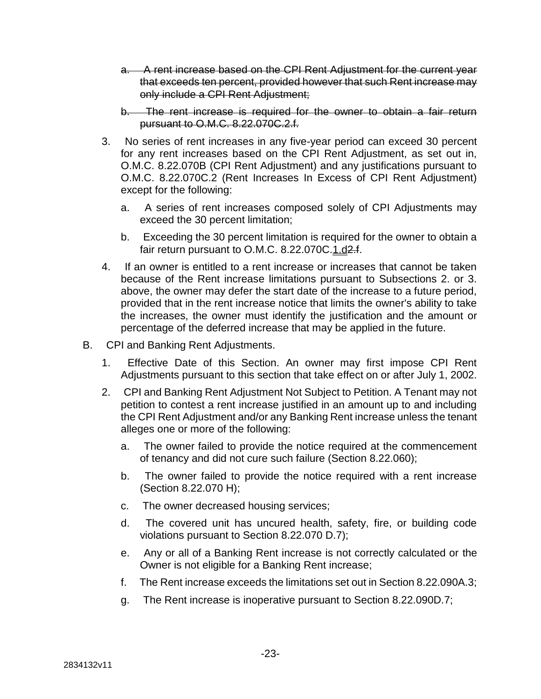- a. A rent increase based on the CPI Rent Adjustment for the current year that exceeds ten percent, provided however that such Rent increase may only include a CPI Rent Adjustment;
- b. The rent increase is required for the owner to obtain a fair return pursuant to O.M.C. 8.22.070C.2.f.
- 3. No series of rent increases in any five-year period can exceed 30 percent for any rent increases based on the CPI Rent Adjustment, as set out in, O.M.C. 8.22.070B (CPI Rent Adjustment) and any justifications pursuant to O.M.C. 8.22.070C.2 (Rent Increases In Excess of CPI Rent Adjustment) except for the following:
	- a. A series of rent increases composed solely of CPI Adjustments may exceed the 30 percent limitation;
	- b. Exceeding the 30 percent limitation is required for the owner to obtain a fair return pursuant to O.M.C. 8.22.070C.1.d2.f.
- 4. If an owner is entitled to a rent increase or increases that cannot be taken because of the Rent increase limitations pursuant to Subsections 2. or 3. above, the owner may defer the start date of the increase to a future period, provided that in the rent increase notice that limits the owner's ability to take the increases, the owner must identify the justification and the amount or percentage of the deferred increase that may be applied in the future.
- B. CPI and Banking Rent Adjustments.
	- 1. Effective Date of this Section. An owner may first impose CPI Rent Adjustments pursuant to this section that take effect on or after July 1, 2002.
	- 2. CPI and Banking Rent Adjustment Not Subject to Petition. A Tenant may not petition to contest a rent increase justified in an amount up to and including the CPI Rent Adjustment and/or any Banking Rent increase unless the tenant alleges one or more of the following:
		- a. The owner failed to provide the notice required at the commencement of tenancy and did not cure such failure (Section 8.22.060);
		- b. The owner failed to provide the notice required with a rent increase (Section 8.22.070 H);
		- c. The owner decreased housing services;
		- d. The covered unit has uncured health, safety, fire, or building code violations pursuant to Section 8.22.070 D.7);
		- e. Any or all of a Banking Rent increase is not correctly calculated or the Owner is not eligible for a Banking Rent increase;
		- f. The Rent increase exceeds the limitations set out in Section 8.22.090A.3;
		- g. The Rent increase is inoperative pursuant to Section 8.22.090D.7;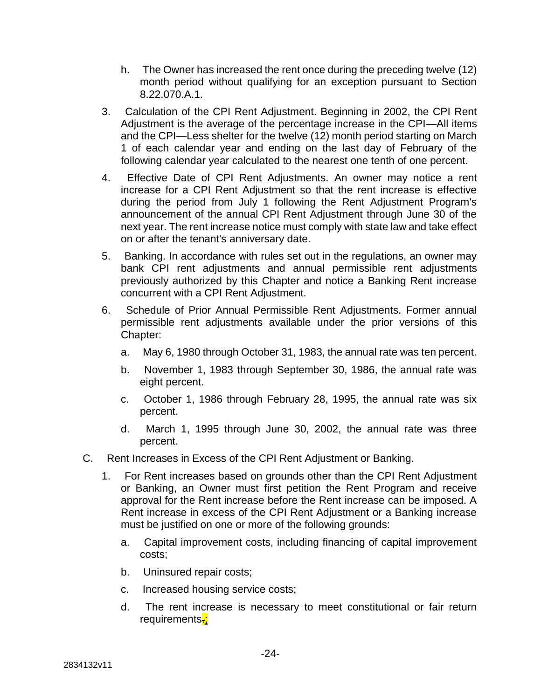- h. The Owner has increased the rent once during the preceding twelve (12) month period without qualifying for an exception pursuant to Section 8.22.070.A.1.
- 3. Calculation of the CPI Rent Adjustment. Beginning in 2002, the CPI Rent Adjustment is the average of the percentage increase in the CPI—All items and the CPI—Less shelter for the twelve (12) month period starting on March 1 of each calendar year and ending on the last day of February of the following calendar year calculated to the nearest one tenth of one percent.
- 4. Effective Date of CPI Rent Adjustments. An owner may notice a rent increase for a CPI Rent Adjustment so that the rent increase is effective during the period from July 1 following the Rent Adjustment Program's announcement of the annual CPI Rent Adjustment through June 30 of the next year. The rent increase notice must comply with state law and take effect on or after the tenant's anniversary date.
- 5. Banking. In accordance with rules set out in the regulations, an owner may bank CPI rent adjustments and annual permissible rent adjustments previously authorized by this Chapter and notice a Banking Rent increase concurrent with a CPI Rent Adjustment.
- 6. Schedule of Prior Annual Permissible Rent Adjustments. Former annual permissible rent adjustments available under the prior versions of this Chapter:
	- a. May 6, 1980 through October 31, 1983, the annual rate was ten percent.
	- b. November 1, 1983 through September 30, 1986, the annual rate was eight percent.
	- c. October 1, 1986 through February 28, 1995, the annual rate was six percent.
	- d. March 1, 1995 through June 30, 2002, the annual rate was three percent.
- C. Rent Increases in Excess of the CPI Rent Adjustment or Banking.
	- 1. For Rent increases based on grounds other than the CPI Rent Adjustment or Banking, an Owner must first petition the Rent Program and receive approval for the Rent increase before the Rent increase can be imposed. A Rent increase in excess of the CPI Rent Adjustment or a Banking increase must be justified on one or more of the following grounds:
		- a. Capital improvement costs, including financing of capital improvement costs;
		- b. Uninsured repair costs;
		- c. Increased housing service costs;
		- d. The rent increase is necessary to meet constitutional or fair return requirements-;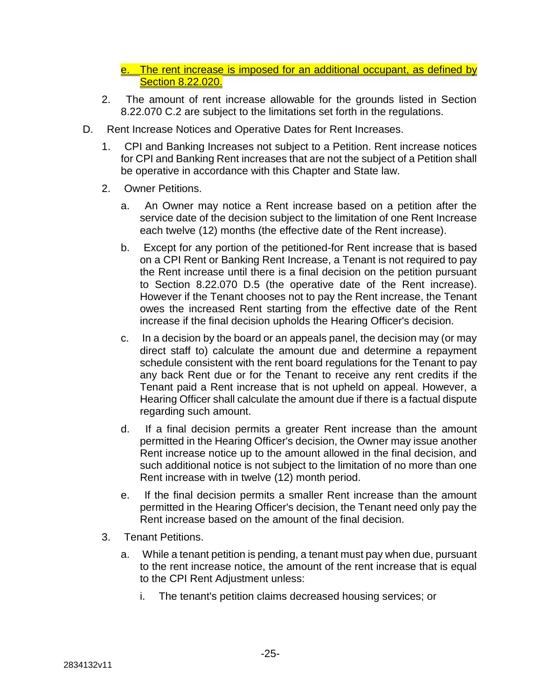- e. The rent increase is imposed for an additional occupant, as defined by Section 8.22.020.
- 2. The amount of rent increase allowable for the grounds listed in Section 8.22.070 C.2 are subject to the limitations set forth in the regulations.
- D. Rent Increase Notices and Operative Dates for Rent Increases.
	- 1. CPI and Banking Increases not subject to a Petition. Rent increase notices for CPI and Banking Rent increases that are not the subject of a Petition shall be operative in accordance with this Chapter and State law.
	- 2. Owner Petitions.
		- a. An Owner may notice a Rent increase based on a petition after the service date of the decision subject to the limitation of one Rent Increase each twelve (12) months (the effective date of the Rent increase).
		- b. Except for any portion of the petitioned-for Rent increase that is based on a CPI Rent or Banking Rent Increase, a Tenant is not required to pay the Rent increase until there is a final decision on the petition pursuant to Section 8.22.070 D.5 (the operative date of the Rent increase). However if the Tenant chooses not to pay the Rent increase, the Tenant owes the increased Rent starting from the effective date of the Rent increase if the final decision upholds the Hearing Officer's decision.
		- c. In a decision by the board or an appeals panel, the decision may (or may direct staff to) calculate the amount due and determine a repayment schedule consistent with the rent board regulations for the Tenant to pay any back Rent due or for the Tenant to receive any rent credits if the Tenant paid a Rent increase that is not upheld on appeal. However, a Hearing Officer shall calculate the amount due if there is a factual dispute regarding such amount.
		- d. If a final decision permits a greater Rent increase than the amount permitted in the Hearing Officer's decision, the Owner may issue another Rent increase notice up to the amount allowed in the final decision, and such additional notice is not subject to the limitation of no more than one Rent increase with in twelve (12) month period.
		- e. If the final decision permits a smaller Rent increase than the amount permitted in the Hearing Officer's decision, the Tenant need only pay the Rent increase based on the amount of the final decision.
	- 3. Tenant Petitions.
		- a. While a tenant petition is pending, a tenant must pay when due, pursuant to the rent increase notice, the amount of the rent increase that is equal to the CPI Rent Adjustment unless:
			- i. The tenant's petition claims decreased housing services; or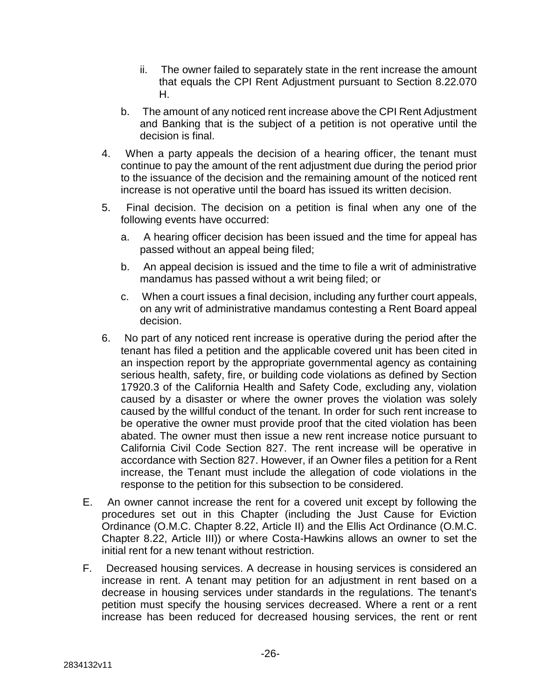- ii. The owner failed to separately state in the rent increase the amount that equals the CPI Rent Adjustment pursuant to Section 8.22.070 H.
- b. The amount of any noticed rent increase above the CPI Rent Adjustment and Banking that is the subject of a petition is not operative until the decision is final.
- 4. When a party appeals the decision of a hearing officer, the tenant must continue to pay the amount of the rent adjustment due during the period prior to the issuance of the decision and the remaining amount of the noticed rent increase is not operative until the board has issued its written decision.
- 5. Final decision. The decision on a petition is final when any one of the following events have occurred:
	- a. A hearing officer decision has been issued and the time for appeal has passed without an appeal being filed;
	- b. An appeal decision is issued and the time to file a writ of administrative mandamus has passed without a writ being filed; or
	- c. When a court issues a final decision, including any further court appeals, on any writ of administrative mandamus contesting a Rent Board appeal decision.
- 6. No part of any noticed rent increase is operative during the period after the tenant has filed a petition and the applicable covered unit has been cited in an inspection report by the appropriate governmental agency as containing serious health, safety, fire, or building code violations as defined by Section 17920.3 of the California Health and Safety Code, excluding any, violation caused by a disaster or where the owner proves the violation was solely caused by the willful conduct of the tenant. In order for such rent increase to be operative the owner must provide proof that the cited violation has been abated. The owner must then issue a new rent increase notice pursuant to California Civil Code Section 827. The rent increase will be operative in accordance with Section 827. However, if an Owner files a petition for a Rent increase, the Tenant must include the allegation of code violations in the response to the petition for this subsection to be considered.
- E. An owner cannot increase the rent for a covered unit except by following the procedures set out in this Chapter (including the Just Cause for Eviction Ordinance (O.M.C. Chapter 8.22, Article II) and the Ellis Act Ordinance (O.M.C. Chapter 8.22, Article III)) or where Costa-Hawkins allows an owner to set the initial rent for a new tenant without restriction.
- F. Decreased housing services. A decrease in housing services is considered an increase in rent. A tenant may petition for an adjustment in rent based on a decrease in housing services under standards in the regulations. The tenant's petition must specify the housing services decreased. Where a rent or a rent increase has been reduced for decreased housing services, the rent or rent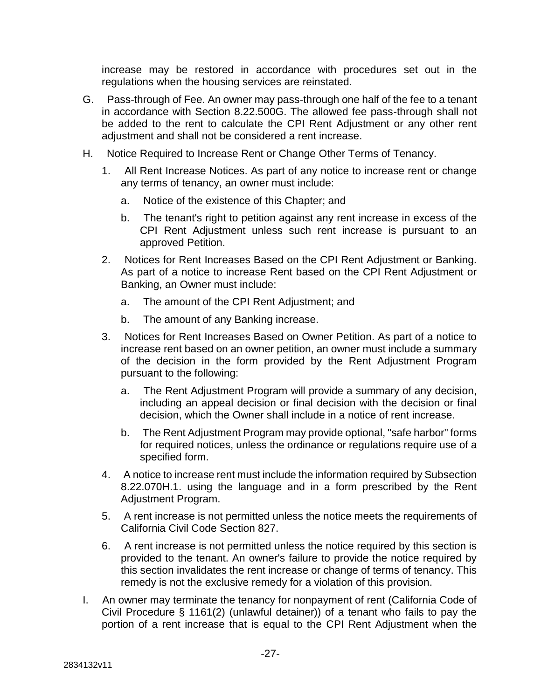increase may be restored in accordance with procedures set out in the regulations when the housing services are reinstated.

- G. Pass-through of Fee. An owner may pass-through one half of the fee to a tenant in accordance with Section 8.22.500G. The allowed fee pass-through shall not be added to the rent to calculate the CPI Rent Adjustment or any other rent adjustment and shall not be considered a rent increase.
- H. Notice Required to Increase Rent or Change Other Terms of Tenancy.
	- 1. All Rent Increase Notices. As part of any notice to increase rent or change any terms of tenancy, an owner must include:
		- a. Notice of the existence of this Chapter; and
		- b. The tenant's right to petition against any rent increase in excess of the CPI Rent Adjustment unless such rent increase is pursuant to an approved Petition.
	- 2. Notices for Rent Increases Based on the CPI Rent Adjustment or Banking. As part of a notice to increase Rent based on the CPI Rent Adjustment or Banking, an Owner must include:
		- a. The amount of the CPI Rent Adjustment; and
		- b. The amount of any Banking increase.
	- 3. Notices for Rent Increases Based on Owner Petition. As part of a notice to increase rent based on an owner petition, an owner must include a summary of the decision in the form provided by the Rent Adjustment Program pursuant to the following:
		- a. The Rent Adjustment Program will provide a summary of any decision, including an appeal decision or final decision with the decision or final decision, which the Owner shall include in a notice of rent increase.
		- b. The Rent Adjustment Program may provide optional, "safe harbor" forms for required notices, unless the ordinance or regulations require use of a specified form.
	- 4. A notice to increase rent must include the information required by Subsection 8.22.070H.1. using the language and in a form prescribed by the Rent Adjustment Program.
	- 5. A rent increase is not permitted unless the notice meets the requirements of California Civil Code Section 827.
	- 6. A rent increase is not permitted unless the notice required by this section is provided to the tenant. An owner's failure to provide the notice required by this section invalidates the rent increase or change of terms of tenancy. This remedy is not the exclusive remedy for a violation of this provision.
- I. An owner may terminate the tenancy for nonpayment of rent (California Code of Civil Procedure § 1161(2) (unlawful detainer)) of a tenant who fails to pay the portion of a rent increase that is equal to the CPI Rent Adjustment when the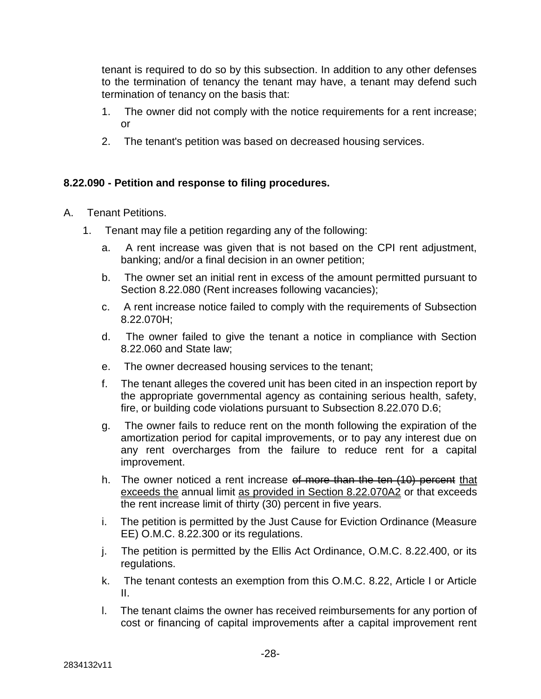tenant is required to do so by this subsection. In addition to any other defenses to the termination of tenancy the tenant may have, a tenant may defend such termination of tenancy on the basis that:

- 1. The owner did not comply with the notice requirements for a rent increase; or
- 2. The tenant's petition was based on decreased housing services.

### **8.22.090 - Petition and response to filing procedures.**

- A. Tenant Petitions.
	- 1. Tenant may file a petition regarding any of the following:
		- a. A rent increase was given that is not based on the CPI rent adjustment, banking; and/or a final decision in an owner petition;
		- b. The owner set an initial rent in excess of the amount permitted pursuant to Section 8.22.080 (Rent increases following vacancies);
		- c. A rent increase notice failed to comply with the requirements of Subsection 8.22.070H;
		- d. The owner failed to give the tenant a notice in compliance with Section 8.22.060 and State law;
		- e. The owner decreased housing services to the tenant;
		- f. The tenant alleges the covered unit has been cited in an inspection report by the appropriate governmental agency as containing serious health, safety, fire, or building code violations pursuant to Subsection 8.22.070 D.6;
		- g. The owner fails to reduce rent on the month following the expiration of the amortization period for capital improvements, or to pay any interest due on any rent overcharges from the failure to reduce rent for a capital improvement.
		- h. The owner noticed a rent increase of more than the ten (10) percent that exceeds the annual limit as provided in Section 8.22.070A2 or that exceeds the rent increase limit of thirty (30) percent in five years.
		- i. The petition is permitted by the Just Cause for Eviction Ordinance (Measure EE) O.M.C. 8.22.300 or its regulations.
		- j. The petition is permitted by the Ellis Act Ordinance, O.M.C. 8.22.400, or its regulations.
		- k. The tenant contests an exemption from this O.M.C. 8.22, Article I or Article II.
		- l. The tenant claims the owner has received reimbursements for any portion of cost or financing of capital improvements after a capital improvement rent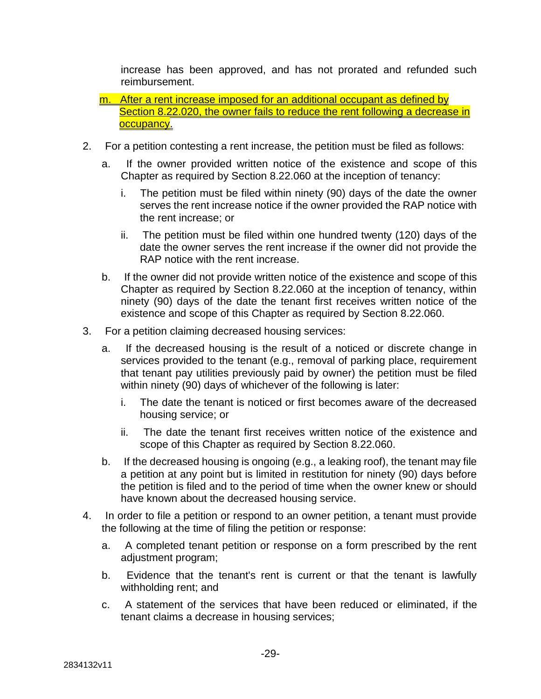increase has been approved, and has not prorated and refunded such reimbursement.

- m. After a rent increase imposed for an additional occupant as defined by Section 8.22.020, the owner fails to reduce the rent following a decrease in occupancy.
- 2. For a petition contesting a rent increase, the petition must be filed as follows:
	- a. If the owner provided written notice of the existence and scope of this Chapter as required by Section 8.22.060 at the inception of tenancy:
		- i. The petition must be filed within ninety (90) days of the date the owner serves the rent increase notice if the owner provided the RAP notice with the rent increase; or
		- ii. The petition must be filed within one hundred twenty (120) days of the date the owner serves the rent increase if the owner did not provide the RAP notice with the rent increase.
	- b. If the owner did not provide written notice of the existence and scope of this Chapter as required by Section 8.22.060 at the inception of tenancy, within ninety (90) days of the date the tenant first receives written notice of the existence and scope of this Chapter as required by Section 8.22.060.
- 3. For a petition claiming decreased housing services:
	- a. If the decreased housing is the result of a noticed or discrete change in services provided to the tenant (e.g., removal of parking place, requirement that tenant pay utilities previously paid by owner) the petition must be filed within ninety (90) days of whichever of the following is later:
		- i. The date the tenant is noticed or first becomes aware of the decreased housing service; or
		- ii. The date the tenant first receives written notice of the existence and scope of this Chapter as required by Section 8.22.060.
	- b. If the decreased housing is ongoing (e.g., a leaking roof), the tenant may file a petition at any point but is limited in restitution for ninety (90) days before the petition is filed and to the period of time when the owner knew or should have known about the decreased housing service.
- 4. In order to file a petition or respond to an owner petition, a tenant must provide the following at the time of filing the petition or response:
	- a. A completed tenant petition or response on a form prescribed by the rent adjustment program;
	- b. Evidence that the tenant's rent is current or that the tenant is lawfully withholding rent; and
	- c. A statement of the services that have been reduced or eliminated, if the tenant claims a decrease in housing services;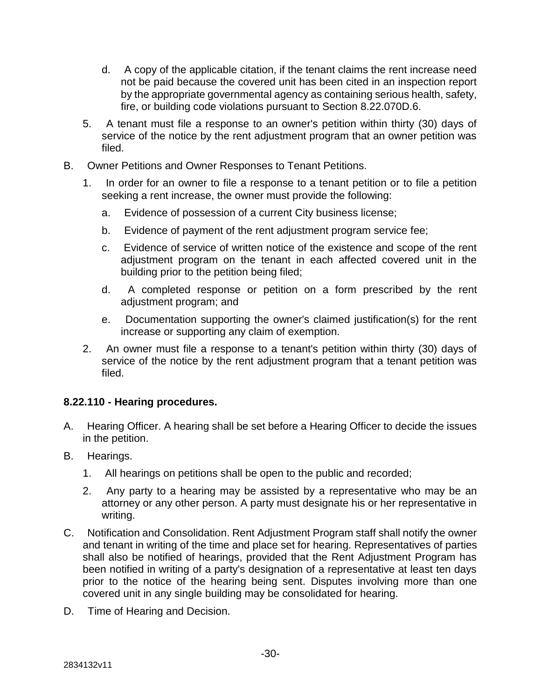- d. A copy of the applicable citation, if the tenant claims the rent increase need not be paid because the covered unit has been cited in an inspection report by the appropriate governmental agency as containing serious health, safety, fire, or building code violations pursuant to Section 8.22.070D.6.
- 5. A tenant must file a response to an owner's petition within thirty (30) days of service of the notice by the rent adjustment program that an owner petition was filed.
- B. Owner Petitions and Owner Responses to Tenant Petitions.
	- 1. In order for an owner to file a response to a tenant petition or to file a petition seeking a rent increase, the owner must provide the following:
		- a. Evidence of possession of a current City business license;
		- b. Evidence of payment of the rent adjustment program service fee;
		- c. Evidence of service of written notice of the existence and scope of the rent adjustment program on the tenant in each affected covered unit in the building prior to the petition being filed;
		- d. A completed response or petition on a form prescribed by the rent adjustment program; and
		- e. Documentation supporting the owner's claimed justification(s) for the rent increase or supporting any claim of exemption.
	- 2. An owner must file a response to a tenant's petition within thirty (30) days of service of the notice by the rent adjustment program that a tenant petition was filed.

### **8.22.110 - Hearing procedures.**

- A. Hearing Officer. A hearing shall be set before a Hearing Officer to decide the issues in the petition.
- B. Hearings.
	- 1. All hearings on petitions shall be open to the public and recorded;
	- 2. Any party to a hearing may be assisted by a representative who may be an attorney or any other person. A party must designate his or her representative in writing.
- C. Notification and Consolidation. Rent Adjustment Program staff shall notify the owner and tenant in writing of the time and place set for hearing. Representatives of parties shall also be notified of hearings, provided that the Rent Adjustment Program has been notified in writing of a party's designation of a representative at least ten days prior to the notice of the hearing being sent. Disputes involving more than one covered unit in any single building may be consolidated for hearing.
- D. Time of Hearing and Decision.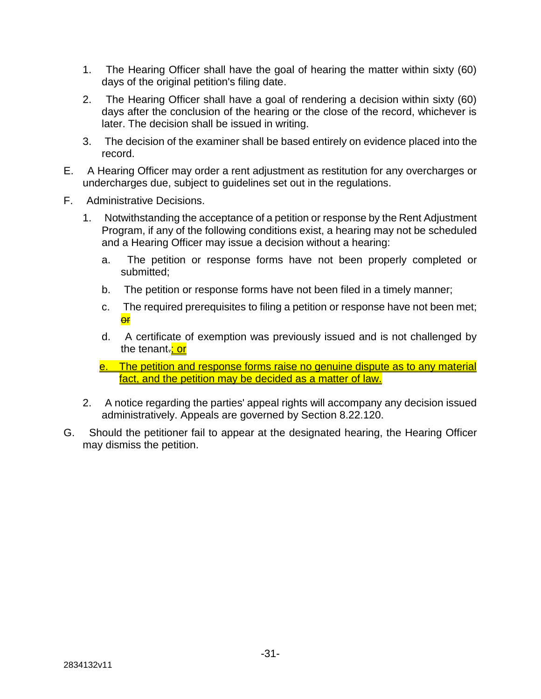- 1. The Hearing Officer shall have the goal of hearing the matter within sixty (60) days of the original petition's filing date.
- 2. The Hearing Officer shall have a goal of rendering a decision within sixty (60) days after the conclusion of the hearing or the close of the record, whichever is later. The decision shall be issued in writing.
- 3. The decision of the examiner shall be based entirely on evidence placed into the record.
- E. A Hearing Officer may order a rent adjustment as restitution for any overcharges or undercharges due, subject to guidelines set out in the regulations.
- F. Administrative Decisions.
	- 1. Notwithstanding the acceptance of a petition or response by the Rent Adjustment Program, if any of the following conditions exist, a hearing may not be scheduled and a Hearing Officer may issue a decision without a hearing:
		- a. The petition or response forms have not been properly completed or submitted;
		- b. The petition or response forms have not been filed in a timely manner;
		- c. The required prerequisites to filing a petition or response have not been met; **or**
		- d. A certificate of exemption was previously issued and is not challenged by the tenant.: or
		- e. The petition and response forms raise no genuine dispute as to any material fact, and the petition may be decided as a matter of law.
	- 2. A notice regarding the parties' appeal rights will accompany any decision issued administratively. Appeals are governed by Section 8.22.120.
- G. Should the petitioner fail to appear at the designated hearing, the Hearing Officer may dismiss the petition.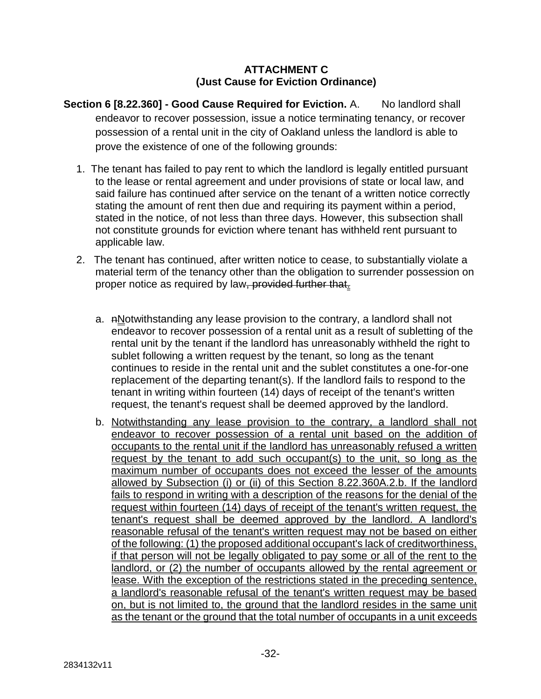#### **ATTACHMENT C (Just Cause for Eviction Ordinance)**

- **Section 6 [8.22.360] Good Cause Required for Eviction.** A. No landlord shall endeavor to recover possession, issue a notice terminating tenancy, or recover possession of a rental unit in the city of Oakland unless the landlord is able to prove the existence of one of the following grounds:
	- 1. The tenant has failed to pay rent to which the landlord is legally entitled pursuant to the lease or rental agreement and under provisions of state or local law, and said failure has continued after service on the tenant of a written notice correctly stating the amount of rent then due and requiring its payment within a period, stated in the notice, of not less than three days. However, this subsection shall not constitute grounds for eviction where tenant has withheld rent pursuant to applicable law.
	- 2. The tenant has continued, after written notice to cease, to substantially violate a material term of the tenancy other than the obligation to surrender possession on proper notice as required by law, provided further that.
		- a.  $nN$  potwithstanding any lease provision to the contrary, a landlord shall not endeavor to recover possession of a rental unit as a result of subletting of the rental unit by the tenant if the landlord has unreasonably withheld the right to sublet following a written request by the tenant, so long as the tenant continues to reside in the rental unit and the sublet constitutes a one-for-one replacement of the departing tenant(s). If the landlord fails to respond to the tenant in writing within fourteen (14) days of receipt of the tenant's written request, the tenant's request shall be deemed approved by the landlord.
		- b. Notwithstanding any lease provision to the contrary, a landlord shall not endeavor to recover possession of a rental unit based on the addition of occupants to the rental unit if the landlord has unreasonably refused a written request by the tenant to add such occupant(s) to the unit, so long as the maximum number of occupants does not exceed the lesser of the amounts allowed by Subsection (i) or (ii) of this Section 8.22.360A.2.b. If the landlord fails to respond in writing with a description of the reasons for the denial of the request within fourteen (14) days of receipt of the tenant's written request, the tenant's request shall be deemed approved by the landlord. A landlord's reasonable refusal of the tenant's written request may not be based on either of the following: (1) the proposed additional occupant's lack of creditworthiness, if that person will not be legally obligated to pay some or all of the rent to the landlord, or (2) the number of occupants allowed by the rental agreement or lease. With the exception of the restrictions stated in the preceding sentence, a landlord's reasonable refusal of the tenant's written request may be based on, but is not limited to, the ground that the landlord resides in the same unit as the tenant or the ground that the total number of occupants in a unit exceeds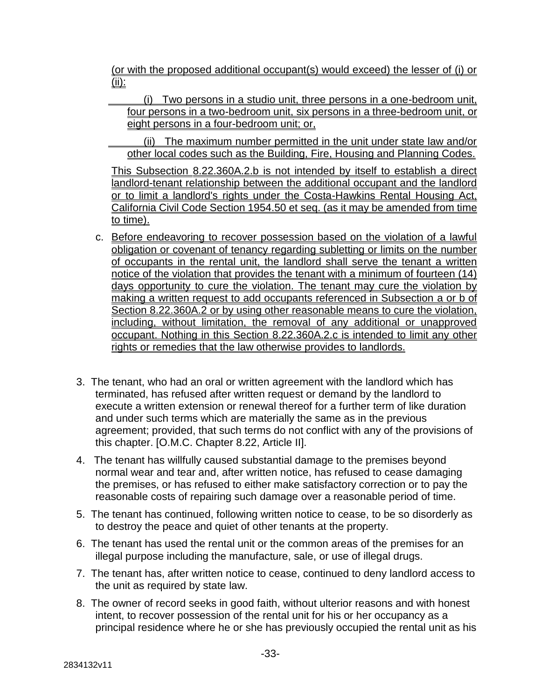(or with the proposed additional occupant(s) would exceed) the lesser of (i) or (ii):

 (i) Two persons in a studio unit, three persons in a one-bedroom unit, four persons in a two-bedroom unit, six persons in a three-bedroom unit, or eight persons in a four-bedroom unit; or,

 (ii) The maximum number permitted in the unit under state law and/or other local codes such as the Building, Fire, Housing and Planning Codes.

This Subsection 8.22.360A.2.b is not intended by itself to establish a direct landlord-tenant relationship between the additional occupant and the landlord or to limit a landlord's rights under the Costa-Hawkins Rental Housing Act, California Civil Code Section 1954.50 et seq. (as it may be amended from time to time).

- c. Before endeavoring to recover possession based on the violation of a lawful obligation or covenant of tenancy regarding subletting or limits on the number of occupants in the rental unit, the landlord shall serve the tenant a written notice of the violation that provides the tenant with a minimum of fourteen  $(14)$ days opportunity to cure the violation. The tenant may cure the violation by making a written request to add occupants referenced in Subsection a or b of Section 8.22.360A.2 or by using other reasonable means to cure the violation. including, without limitation, the removal of any additional or unapproved occupant. Nothing in this Section 8.22.360A.2.c is intended to limit any other rights or remedies that the law otherwise provides to landlords.
- 3. The tenant, who had an oral or written agreement with the landlord which has terminated, has refused after written request or demand by the landlord to execute a written extension or renewal thereof for a further term of like duration and under such terms which are materially the same as in the previous agreement; provided, that such terms do not conflict with any of the provisions of this chapter. [O.M.C. Chapter 8.22, Article II].
- 4. The tenant has willfully caused substantial damage to the premises beyond normal wear and tear and, after written notice, has refused to cease damaging the premises, or has refused to either make satisfactory correction or to pay the reasonable costs of repairing such damage over a reasonable period of time.
- 5. The tenant has continued, following written notice to cease, to be so disorderly as to destroy the peace and quiet of other tenants at the property.
- 6. The tenant has used the rental unit or the common areas of the premises for an illegal purpose including the manufacture, sale, or use of illegal drugs.
- 7. The tenant has, after written notice to cease, continued to deny landlord access to the unit as required by state law.
- 8. The owner of record seeks in good faith, without ulterior reasons and with honest intent, to recover possession of the rental unit for his or her occupancy as a principal residence where he or she has previously occupied the rental unit as his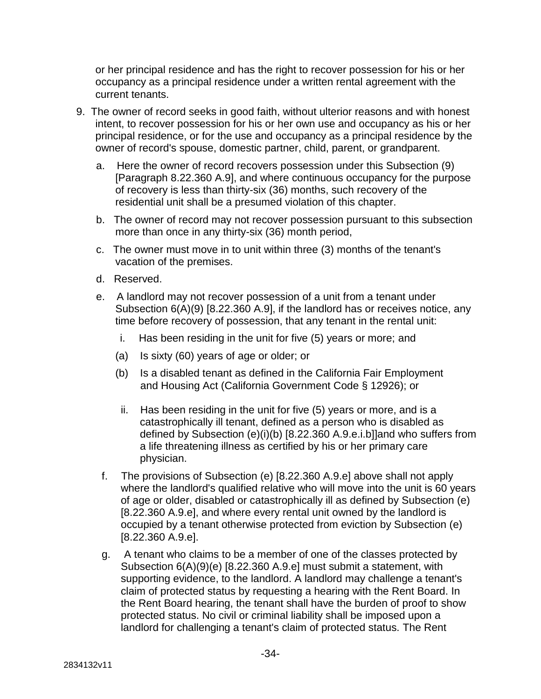or her principal residence and has the right to recover possession for his or her occupancy as a principal residence under a written rental agreement with the current tenants.

- 9. The owner of record seeks in good faith, without ulterior reasons and with honest intent, to recover possession for his or her own use and occupancy as his or her principal residence, or for the use and occupancy as a principal residence by the owner of record's spouse, domestic partner, child, parent, or grandparent.
	- a. Here the owner of record recovers possession under this Subsection (9) [Paragraph 8.22.360 A.9], and where continuous occupancy for the purpose of recovery is less than thirty-six (36) months, such recovery of the residential unit shall be a presumed violation of this chapter.
	- b. The owner of record may not recover possession pursuant to this subsection more than once in any thirty-six (36) month period,
	- c. The owner must move in to unit within three (3) months of the tenant's vacation of the premises.
	- d. Reserved.
	- e. A landlord may not recover possession of a unit from a tenant under Subsection 6(A)(9) [8.22.360 A.9], if the landlord has or receives notice, any time before recovery of possession, that any tenant in the rental unit:
		- i. Has been residing in the unit for five (5) years or more; and
		- (a) Is sixty (60) years of age or older; or
		- (b) Is a disabled tenant as defined in the California Fair Employment and Housing Act (California Government Code § 12926); or
		- ii. Has been residing in the unit for five (5) years or more, and is a catastrophically ill tenant, defined as a person who is disabled as defined by Subsection (e)(i)(b) [8.22.360 A.9.e.i.b]]and who suffers from a life threatening illness as certified by his or her primary care physician.
	- f. The provisions of Subsection (e) [8.22.360 A.9.e] above shall not apply where the landlord's qualified relative who will move into the unit is 60 years of age or older, disabled or catastrophically ill as defined by Subsection (e) [8.22.360 A.9.e], and where every rental unit owned by the landlord is occupied by a tenant otherwise protected from eviction by Subsection (e) [8.22.360 A.9.e].
	- g. A tenant who claims to be a member of one of the classes protected by Subsection 6(A)(9)(e) [8.22.360 A.9.e] must submit a statement, with supporting evidence, to the landlord. A landlord may challenge a tenant's claim of protected status by requesting a hearing with the Rent Board. In the Rent Board hearing, the tenant shall have the burden of proof to show protected status. No civil or criminal liability shall be imposed upon a landlord for challenging a tenant's claim of protected status. The Rent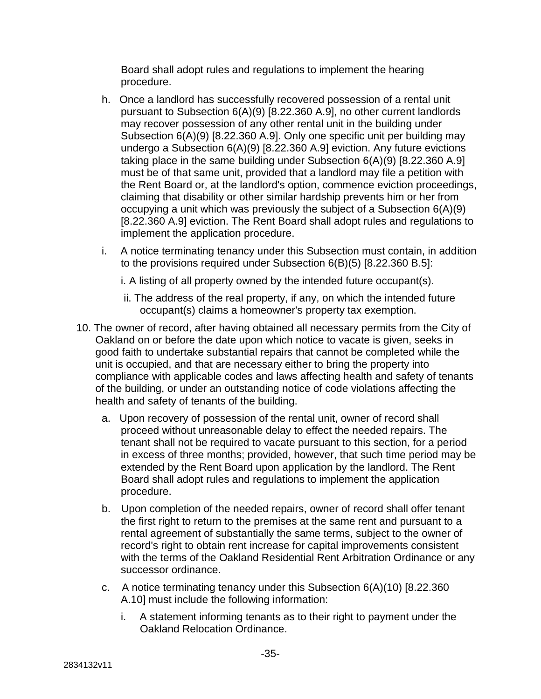Board shall adopt rules and regulations to implement the hearing procedure.

- h. Once a landlord has successfully recovered possession of a rental unit pursuant to Subsection 6(A)(9) [8.22.360 A.9], no other current landlords may recover possession of any other rental unit in the building under Subsection 6(A)(9) [8.22.360 A.9]. Only one specific unit per building may undergo a Subsection 6(A)(9) [8.22.360 A.9] eviction. Any future evictions taking place in the same building under Subsection 6(A)(9) [8.22.360 A.9] must be of that same unit, provided that a landlord may file a petition with the Rent Board or, at the landlord's option, commence eviction proceedings, claiming that disability or other similar hardship prevents him or her from occupying a unit which was previously the subject of a Subsection 6(A)(9) [8.22.360 A.9] eviction. The Rent Board shall adopt rules and regulations to implement the application procedure.
- i. A notice terminating tenancy under this Subsection must contain, in addition to the provisions required under Subsection 6(B)(5) [8.22.360 B.5]:
	- i. A listing of all property owned by the intended future occupant(s).
	- ii. The address of the real property, if any, on which the intended future occupant(s) claims a homeowner's property tax exemption.
- 10. The owner of record, after having obtained all necessary permits from the City of Oakland on or before the date upon which notice to vacate is given, seeks in good faith to undertake substantial repairs that cannot be completed while the unit is occupied, and that are necessary either to bring the property into compliance with applicable codes and laws affecting health and safety of tenants of the building, or under an outstanding notice of code violations affecting the health and safety of tenants of the building.
	- a. Upon recovery of possession of the rental unit, owner of record shall proceed without unreasonable delay to effect the needed repairs. The tenant shall not be required to vacate pursuant to this section, for a period in excess of three months; provided, however, that such time period may be extended by the Rent Board upon application by the landlord. The Rent Board shall adopt rules and regulations to implement the application procedure.
	- b. Upon completion of the needed repairs, owner of record shall offer tenant the first right to return to the premises at the same rent and pursuant to a rental agreement of substantially the same terms, subject to the owner of record's right to obtain rent increase for capital improvements consistent with the terms of the Oakland Residential Rent Arbitration Ordinance or any successor ordinance.
	- c. A notice terminating tenancy under this Subsection 6(A)(10) [8.22.360 A.10] must include the following information:
		- i. A statement informing tenants as to their right to payment under the Oakland Relocation Ordinance.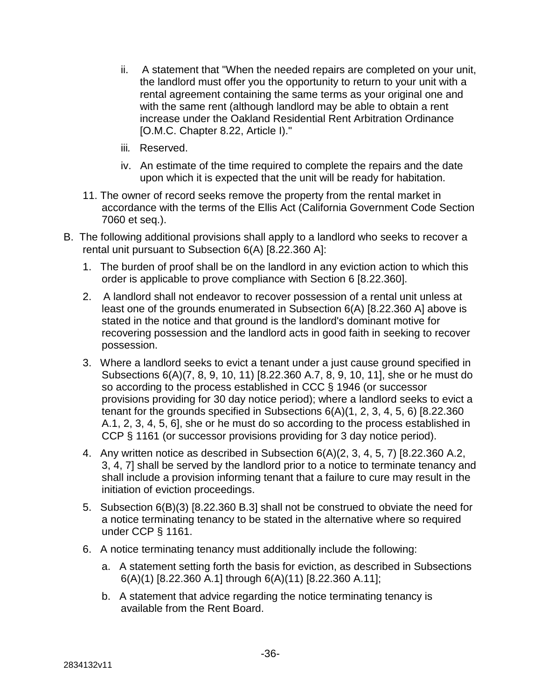- ii. A statement that "When the needed repairs are completed on your unit, the landlord must offer you the opportunity to return to your unit with a rental agreement containing the same terms as your original one and with the same rent (although landlord may be able to obtain a rent increase under the Oakland Residential Rent Arbitration Ordinance [O.M.C. Chapter 8.22, Article I)."
- iii*.* Reserved.
- iv. An estimate of the time required to complete the repairs and the date upon which it is expected that the unit will be ready for habitation.
- 11. The owner of record seeks remove the property from the rental market in accordance with the terms of the Ellis Act (California Government Code Section 7060 et seq.).
- B. The following additional provisions shall apply to a landlord who seeks to recover a rental unit pursuant to Subsection 6(A) [8.22.360 A]:
	- 1. The burden of proof shall be on the landlord in any eviction action to which this order is applicable to prove compliance with Section 6 [8.22.360].
	- 2. A landlord shall not endeavor to recover possession of a rental unit unless at least one of the grounds enumerated in Subsection 6(A) [8.22.360 A] above is stated in the notice and that ground is the landlord's dominant motive for recovering possession and the landlord acts in good faith in seeking to recover possession.
	- 3. Where a landlord seeks to evict a tenant under a just cause ground specified in Subsections 6(A)(7, 8, 9, 10, 11) [8.22.360 A.7, 8, 9, 10, 11], she or he must do so according to the process established in CCC § 1946 (or successor provisions providing for 30 day notice period); where a landlord seeks to evict a tenant for the grounds specified in Subsections 6(A)(1, 2, 3, 4, 5, 6) [8.22.360 A.1, 2, 3, 4, 5, 6], she or he must do so according to the process established in CCP § 1161 (or successor provisions providing for 3 day notice period).
	- 4. Any written notice as described in Subsection 6(A)(2, 3, 4, 5, 7) [8.22.360 A.2, 3, 4, 7] shall be served by the landlord prior to a notice to terminate tenancy and shall include a provision informing tenant that a failure to cure may result in the initiation of eviction proceedings.
	- 5. Subsection 6(B)(3) [8.22.360 B.3] shall not be construed to obviate the need for a notice terminating tenancy to be stated in the alternative where so required under CCP § 1161.
	- 6. A notice terminating tenancy must additionally include the following:
		- a. A statement setting forth the basis for eviction, as described in Subsections 6(A)(1) [8.22.360 A.1] through 6(A)(11) [8.22.360 A.11];
		- b. A statement that advice regarding the notice terminating tenancy is available from the Rent Board.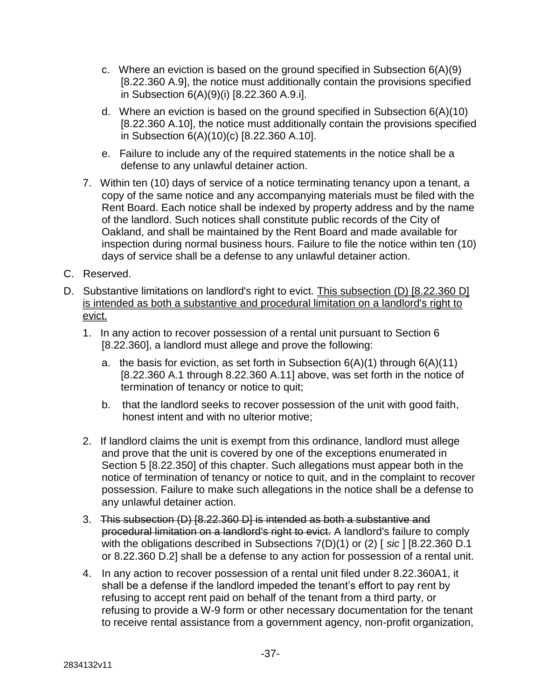- c. Where an eviction is based on the ground specified in Subsection 6(A)(9) [8.22.360 A.9], the notice must additionally contain the provisions specified in Subsection 6(A)(9)(i) [8.22.360 A.9.i].
- d. Where an eviction is based on the ground specified in Subsection 6(A)(10) [8.22.360 A.10], the notice must additionally contain the provisions specified in Subsection 6(A)(10)(c) [8.22.360 A.10].
- e. Failure to include any of the required statements in the notice shall be a defense to any unlawful detainer action.
- 7. Within ten (10) days of service of a notice terminating tenancy upon a tenant, a copy of the same notice and any accompanying materials must be filed with the Rent Board. Each notice shall be indexed by property address and by the name of the landlord. Such notices shall constitute public records of the City of Oakland, and shall be maintained by the Rent Board and made available for inspection during normal business hours. Failure to file the notice within ten (10) days of service shall be a defense to any unlawful detainer action.
- C. Reserved.
- D. Substantive limitations on landlord's right to evict. This subsection (D) [8.22.360 D] is intended as both a substantive and procedural limitation on a landlord's right to evict.
	- 1. In any action to recover possession of a rental unit pursuant to Section 6 [8.22.360], a landlord must allege and prove the following:
		- a. the basis for eviction, as set forth in Subsection  $6(A)(1)$  through  $6(A)(11)$ [8.22.360 A.1 through 8.22.360 A.11] above, was set forth in the notice of termination of tenancy or notice to quit;
		- b. that the landlord seeks to recover possession of the unit with good faith, honest intent and with no ulterior motive;
	- 2. If landlord claims the unit is exempt from this ordinance, landlord must allege and prove that the unit is covered by one of the exceptions enumerated in Section 5 [8.22.350] of this chapter. Such allegations must appear both in the notice of termination of tenancy or notice to quit, and in the complaint to recover possession. Failure to make such allegations in the notice shall be a defense to any unlawful detainer action.
	- 3. This subsection (D) [8.22.360 D] is intended as both a substantive and procedural limitation on a landlord's right to evict. A landlord's failure to comply with the obligations described in Subsections 7(D)(1) or (2) [ *sic* ] [8.22.360 D.1 or 8.22.360 D.2] shall be a defense to any action for possession of a rental unit.
	- 4. In any action to recover possession of a rental unit filed under 8.22.360A1, it shall be a defense if the landlord impeded the tenant's effort to pay rent by refusing to accept rent paid on behalf of the tenant from a third party, or refusing to provide a W-9 form or other necessary documentation for the tenant to receive rental assistance from a government agency, non-profit organization,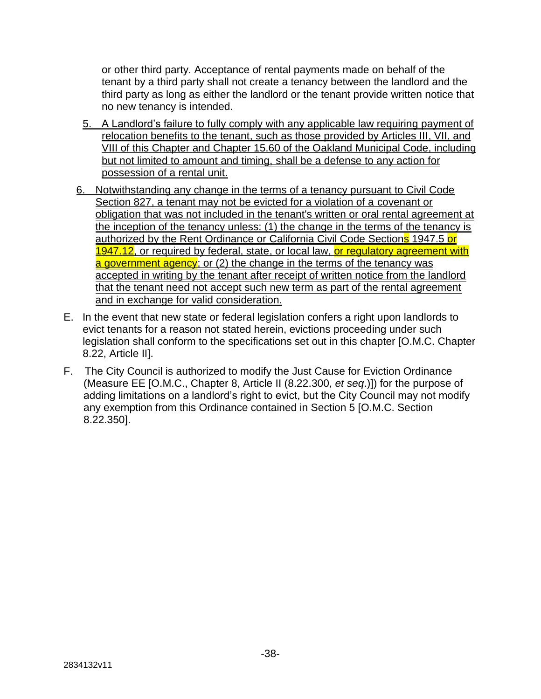or other third party. Acceptance of rental payments made on behalf of the tenant by a third party shall not create a tenancy between the landlord and the third party as long as either the landlord or the tenant provide written notice that no new tenancy is intended.

- 5. A Landlord's failure to fully comply with any applicable law requiring payment of relocation benefits to the tenant, such as those provided by Articles III, VII, and VIII of this Chapter and Chapter 15.60 of the Oakland Municipal Code, including but not limited to amount and timing, shall be a defense to any action for possession of a rental unit.
- 6. Notwithstanding any change in the terms of a tenancy pursuant to Civil Code Section 827, a tenant may not be evicted for a violation of a covenant or obligation that was not included in the tenant's written or oral rental agreement at the inception of the tenancy unless: (1) the change in the terms of the tenancy is authorized by the Rent Ordinance or California Civil Code Sections 1947.5 or 1947.12, or required by federal, state, or local law, or requiatory agreement with a government agency; or (2) the change in the terms of the tenancy was accepted in writing by the tenant after receipt of written notice from the landlord that the tenant need not accept such new term as part of the rental agreement and in exchange for valid consideration.
- E. In the event that new state or federal legislation confers a right upon landlords to evict tenants for a reason not stated herein, evictions proceeding under such legislation shall conform to the specifications set out in this chapter [O.M.C. Chapter 8.22, Article II].
- F. The City Council is authorized to modify the Just Cause for Eviction Ordinance (Measure EE [O.M.C., Chapter 8, Article II (8.22.300, *et seq*.)]) for the purpose of adding limitations on a landlord's right to evict, but the City Council may not modify any exemption from this Ordinance contained in Section 5 [O.M.C. Section 8.22.350].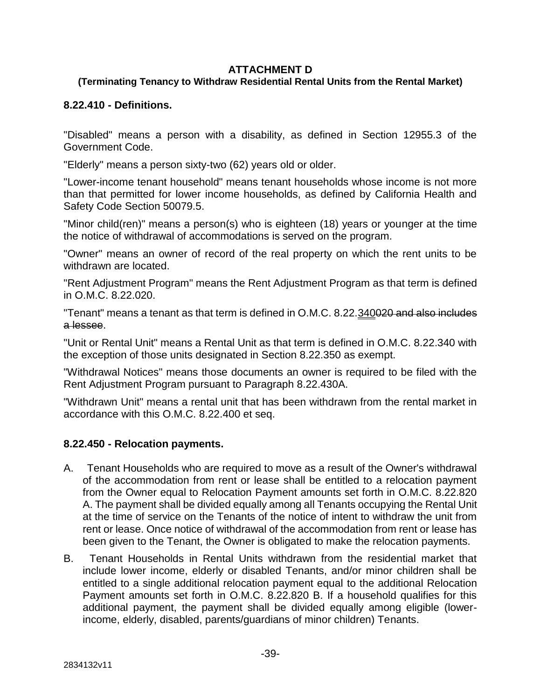#### **ATTACHMENT D**

### **(Terminating Tenancy to Withdraw Residential Rental Units from the Rental Market)**

#### **8.22.410 - Definitions.**

"Disabled" means a person with a disability, as defined in Section 12955.3 of the Government Code.

"Elderly" means a person sixty-two (62) years old or older.

"Lower-income tenant household" means tenant households whose income is not more than that permitted for lower income households, as defined by California Health and Safety Code Section 50079.5.

"Minor child(ren)" means a person(s) who is eighteen (18) years or younger at the time the notice of withdrawal of accommodations is served on the program.

"Owner" means an owner of record of the real property on which the rent units to be withdrawn are located.

"Rent Adjustment Program" means the Rent Adjustment Program as that term is defined in O.M.C. 8.22.020.

"Tenant" means a tenant as that term is defined in O.M.C. 8.22.340020 and also includes a lessee.

"Unit or Rental Unit" means a Rental Unit as that term is defined in O.M.C. 8.22.340 with the exception of those units designated in Section 8.22.350 as exempt.

"Withdrawal Notices" means those documents an owner is required to be filed with the Rent Adjustment Program pursuant to Paragraph 8.22.430A.

"Withdrawn Unit" means a rental unit that has been withdrawn from the rental market in accordance with this O.M.C. 8.22.400 et seq.

### **8.22.450 - Relocation payments.**

- A. Tenant Households who are required to move as a result of the Owner's withdrawal of the accommodation from rent or lease shall be entitled to a relocation payment from the Owner equal to Relocation Payment amounts set forth in O.M.C. 8.22.820 A. The payment shall be divided equally among all Tenants occupying the Rental Unit at the time of service on the Tenants of the notice of intent to withdraw the unit from rent or lease. Once notice of withdrawal of the accommodation from rent or lease has been given to the Tenant, the Owner is obligated to make the relocation payments.
- B. Tenant Households in Rental Units withdrawn from the residential market that include lower income, elderly or disabled Tenants, and/or minor children shall be entitled to a single additional relocation payment equal to the additional Relocation Payment amounts set forth in O.M.C. 8.22.820 B. If a household qualifies for this additional payment, the payment shall be divided equally among eligible (lowerincome, elderly, disabled, parents/guardians of minor children) Tenants.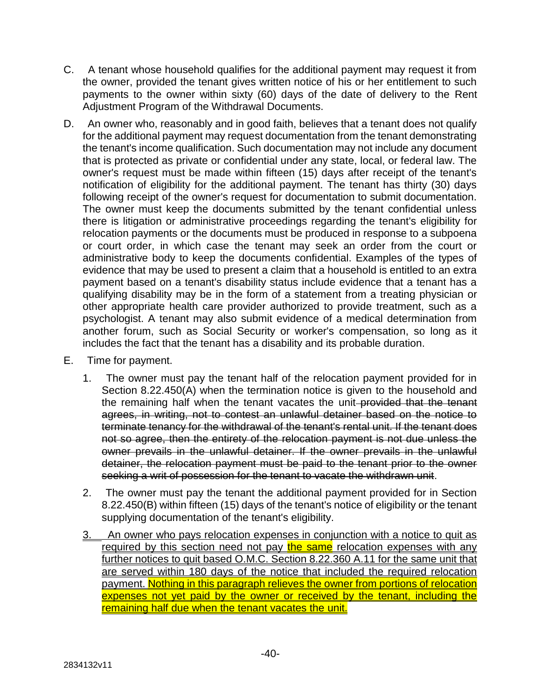- C. A tenant whose household qualifies for the additional payment may request it from the owner, provided the tenant gives written notice of his or her entitlement to such payments to the owner within sixty (60) days of the date of delivery to the Rent Adjustment Program of the Withdrawal Documents.
- D. An owner who, reasonably and in good faith, believes that a tenant does not qualify for the additional payment may request documentation from the tenant demonstrating the tenant's income qualification. Such documentation may not include any document that is protected as private or confidential under any state, local, or federal law. The owner's request must be made within fifteen (15) days after receipt of the tenant's notification of eligibility for the additional payment. The tenant has thirty (30) days following receipt of the owner's request for documentation to submit documentation. The owner must keep the documents submitted by the tenant confidential unless there is litigation or administrative proceedings regarding the tenant's eligibility for relocation payments or the documents must be produced in response to a subpoena or court order, in which case the tenant may seek an order from the court or administrative body to keep the documents confidential. Examples of the types of evidence that may be used to present a claim that a household is entitled to an extra payment based on a tenant's disability status include evidence that a tenant has a qualifying disability may be in the form of a statement from a treating physician or other appropriate health care provider authorized to provide treatment, such as a psychologist. A tenant may also submit evidence of a medical determination from another forum, such as Social Security or worker's compensation, so long as it includes the fact that the tenant has a disability and its probable duration.
- E. Time for payment.
	- 1. The owner must pay the tenant half of the relocation payment provided for in Section 8.22.450(A) when the termination notice is given to the household and the remaining half when the tenant vacates the unit-provided that the tenant agrees, in writing, not to contest an unlawful detainer based on the notice to terminate tenancy for the withdrawal of the tenant's rental unit. If the tenant does not so agree, then the entirety of the relocation payment is not due unless the owner prevails in the unlawful detainer. If the owner prevails in the unlawful detainer, the relocation payment must be paid to the tenant prior to the owner seeking a writ of possession for the tenant to vacate the withdrawn unit.
	- 2. The owner must pay the tenant the additional payment provided for in Section 8.22.450(B) within fifteen (15) days of the tenant's notice of eligibility or the tenant supplying documentation of the tenant's eligibility.
	- 3. An owner who pays relocation expenses in conjunction with a notice to quit as required by this section need not pay the same relocation expenses with any further notices to quit based O.M.C. Section 8.22.360 A.11 for the same unit that are served within 180 days of the notice that included the required relocation payment. Nothing in this paragraph relieves the owner from portions of relocation expenses not yet paid by the owner or received by the tenant, including the remaining half due when the tenant vacates the unit.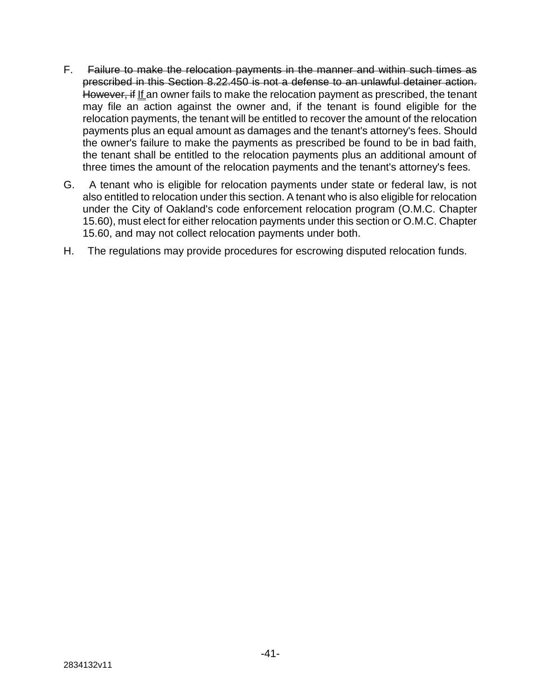- F. Failure to make the relocation payments in the manner and within such times as prescribed in this Section 8.22.450 is not a defense to an unlawful detainer action. However, if If an owner fails to make the relocation payment as prescribed, the tenant may file an action against the owner and, if the tenant is found eligible for the relocation payments, the tenant will be entitled to recover the amount of the relocation payments plus an equal amount as damages and the tenant's attorney's fees. Should the owner's failure to make the payments as prescribed be found to be in bad faith, the tenant shall be entitled to the relocation payments plus an additional amount of three times the amount of the relocation payments and the tenant's attorney's fees.
- G. A tenant who is eligible for relocation payments under state or federal law, is not also entitled to relocation under this section. A tenant who is also eligible for relocation under the City of Oakland's code enforcement relocation program (O.M.C. Chapter 15.60), must elect for either relocation payments under this section or O.M.C. Chapter 15.60, and may not collect relocation payments under both.
- H. The regulations may provide procedures for escrowing disputed relocation funds.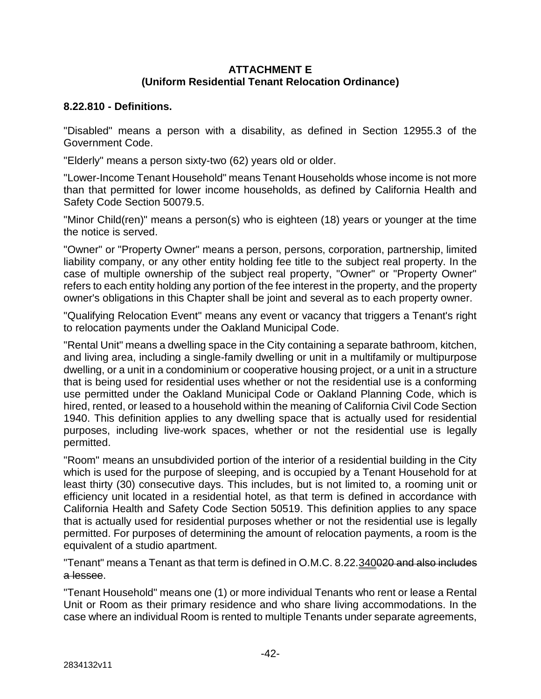#### **ATTACHMENT E (Uniform Residential Tenant Relocation Ordinance)**

#### **8.22.810 - Definitions.**

"Disabled" means a person with a disability, as defined in Section 12955.3 of the Government Code.

"Elderly" means a person sixty-two (62) years old or older.

"Lower-Income Tenant Household" means Tenant Households whose income is not more than that permitted for lower income households, as defined by California Health and Safety Code Section 50079.5.

"Minor Child(ren)" means a person(s) who is eighteen (18) years or younger at the time the notice is served.

"Owner" or "Property Owner" means a person, persons, corporation, partnership, limited liability company, or any other entity holding fee title to the subject real property. In the case of multiple ownership of the subject real property, "Owner" or "Property Owner" refers to each entity holding any portion of the fee interest in the property, and the property owner's obligations in this Chapter shall be joint and several as to each property owner.

"Qualifying Relocation Event" means any event or vacancy that triggers a Tenant's right to relocation payments under the Oakland Municipal Code.

"Rental Unit" means a dwelling space in the City containing a separate bathroom, kitchen, and living area, including a single-family dwelling or unit in a multifamily or multipurpose dwelling, or a unit in a condominium or cooperative housing project, or a unit in a structure that is being used for residential uses whether or not the residential use is a conforming use permitted under the Oakland Municipal Code or Oakland Planning Code, which is hired, rented, or leased to a household within the meaning of California Civil Code Section 1940. This definition applies to any dwelling space that is actually used for residential purposes, including live-work spaces, whether or not the residential use is legally permitted.

"Room" means an unsubdivided portion of the interior of a residential building in the City which is used for the purpose of sleeping, and is occupied by a Tenant Household for at least thirty (30) consecutive days. This includes, but is not limited to, a rooming unit or efficiency unit located in a residential hotel, as that term is defined in accordance with California Health and Safety Code Section 50519. This definition applies to any space that is actually used for residential purposes whether or not the residential use is legally permitted. For purposes of determining the amount of relocation payments, a room is the equivalent of a studio apartment.

"Tenant" means a Tenant as that term is defined in O.M.C. 8.22.340020 and also includes a lessee.

"Tenant Household" means one (1) or more individual Tenants who rent or lease a Rental Unit or Room as their primary residence and who share living accommodations. In the case where an individual Room is rented to multiple Tenants under separate agreements,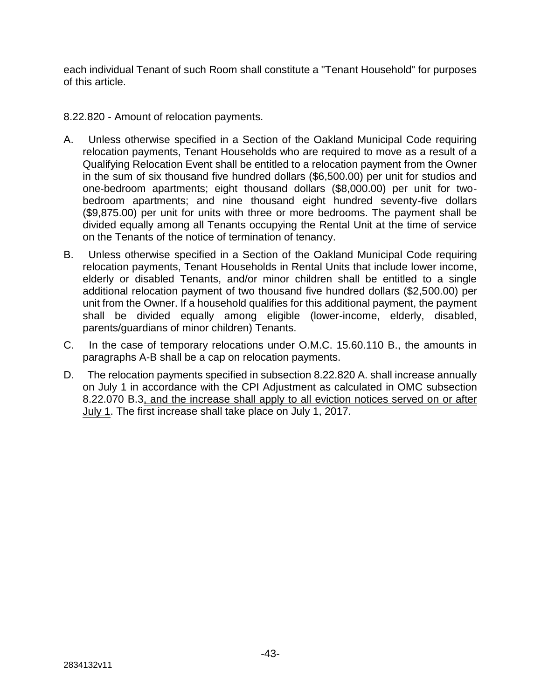each individual Tenant of such Room shall constitute a "Tenant Household" for purposes of this article.

8.22.820 - Amount of relocation payments.

- A. Unless otherwise specified in a Section of the Oakland Municipal Code requiring relocation payments, Tenant Households who are required to move as a result of a Qualifying Relocation Event shall be entitled to a relocation payment from the Owner in the sum of six thousand five hundred dollars (\$6,500.00) per unit for studios and one-bedroom apartments; eight thousand dollars (\$8,000.00) per unit for twobedroom apartments; and nine thousand eight hundred seventy-five dollars (\$9,875.00) per unit for units with three or more bedrooms. The payment shall be divided equally among all Tenants occupying the Rental Unit at the time of service on the Tenants of the notice of termination of tenancy.
- B. Unless otherwise specified in a Section of the Oakland Municipal Code requiring relocation payments, Tenant Households in Rental Units that include lower income, elderly or disabled Tenants, and/or minor children shall be entitled to a single additional relocation payment of two thousand five hundred dollars (\$2,500.00) per unit from the Owner. If a household qualifies for this additional payment, the payment shall be divided equally among eligible (lower-income, elderly, disabled, parents/guardians of minor children) Tenants.
- C. In the case of temporary relocations under O.M.C. 15.60.110 B., the amounts in paragraphs A-B shall be a cap on relocation payments.
- D. The relocation payments specified in subsection 8.22.820 A. shall increase annually on July 1 in accordance with the CPI Adjustment as calculated in OMC subsection 8.22.070 B.3, and the increase shall apply to all eviction notices served on or after July 1. The first increase shall take place on July 1, 2017.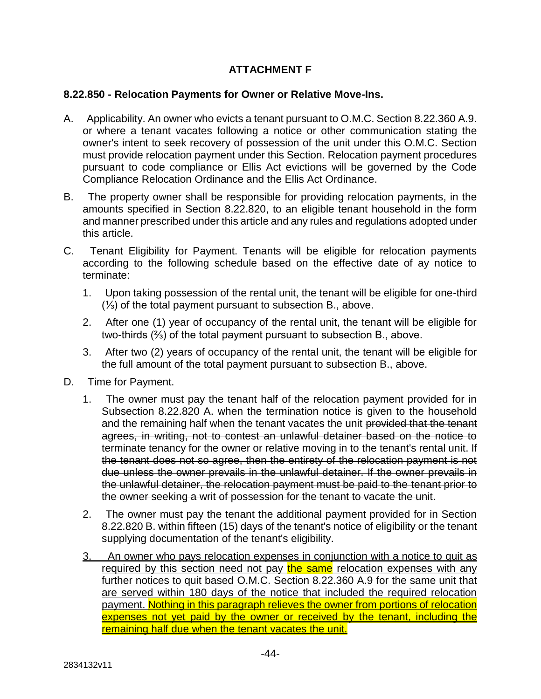# **ATTACHMENT F**

#### **8.22.850 - Relocation Payments for Owner or Relative Move-Ins.**

- A. Applicability. An owner who evicts a tenant pursuant to O.M.C. Section 8.22.360 A.9. or where a tenant vacates following a notice or other communication stating the owner's intent to seek recovery of possession of the unit under this O.M.C. Section must provide relocation payment under this Section. Relocation payment procedures pursuant to code compliance or Ellis Act evictions will be governed by the Code Compliance Relocation Ordinance and the Ellis Act Ordinance.
- B. The property owner shall be responsible for providing relocation payments, in the amounts specified in Section 8.22.820, to an eligible tenant household in the form and manner prescribed under this article and any rules and regulations adopted under this article.
- C. Tenant Eligibility for Payment. Tenants will be eligible for relocation payments according to the following schedule based on the effective date of ay notice to terminate:
	- 1. Upon taking possession of the rental unit, the tenant will be eligible for one-third (⅓) of the total payment pursuant to subsection B., above.
	- 2. After one (1) year of occupancy of the rental unit, the tenant will be eligible for two-thirds (⅔) of the total payment pursuant to subsection B., above.
	- 3. After two (2) years of occupancy of the rental unit, the tenant will be eligible for the full amount of the total payment pursuant to subsection B., above.
- D. Time for Payment.
	- 1. The owner must pay the tenant half of the relocation payment provided for in Subsection 8.22.820 A. when the termination notice is given to the household and the remaining half when the tenant vacates the unit provided that the tenant agrees, in writing, not to contest an unlawful detainer based on the notice to terminate tenancy for the owner or relative moving in to the tenant's rental unit. If the tenant does not so agree, then the entirety of the relocation payment is not due unless the owner prevails in the unlawful detainer. If the owner prevails in the unlawful detainer, the relocation payment must be paid to the tenant prior to the owner seeking a writ of possession for the tenant to vacate the unit.
	- 2. The owner must pay the tenant the additional payment provided for in Section 8.22.820 B. within fifteen (15) days of the tenant's notice of eligibility or the tenant supplying documentation of the tenant's eligibility.
	- 3. An owner who pays relocation expenses in conjunction with a notice to quit as required by this section need not pay the same relocation expenses with any further notices to quit based O.M.C. Section 8.22.360 A.9 for the same unit that are served within 180 days of the notice that included the required relocation payment. Nothing in this paragraph relieves the owner from portions of relocation expenses not yet paid by the owner or received by the tenant, including the remaining half due when the tenant vacates the unit.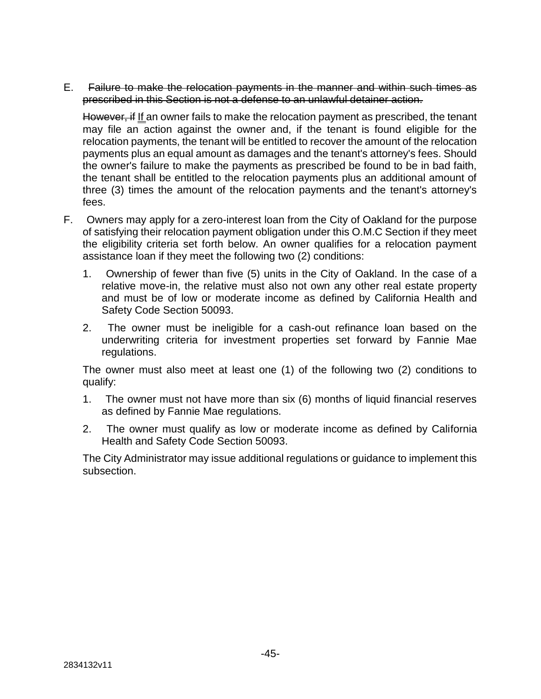E. Failure to make the relocation payments in the manner and within such times as prescribed in this Section is not a defense to an unlawful detainer action.

However, if If an owner fails to make the relocation payment as prescribed, the tenant may file an action against the owner and, if the tenant is found eligible for the relocation payments, the tenant will be entitled to recover the amount of the relocation payments plus an equal amount as damages and the tenant's attorney's fees. Should the owner's failure to make the payments as prescribed be found to be in bad faith, the tenant shall be entitled to the relocation payments plus an additional amount of three (3) times the amount of the relocation payments and the tenant's attorney's fees.

- F. Owners may apply for a zero-interest loan from the City of Oakland for the purpose of satisfying their relocation payment obligation under this O.M.C Section if they meet the eligibility criteria set forth below. An owner qualifies for a relocation payment assistance loan if they meet the following two (2) conditions:
	- 1. Ownership of fewer than five (5) units in the City of Oakland. In the case of a relative move-in, the relative must also not own any other real estate property and must be of low or moderate income as defined by California Health and Safety Code Section 50093.
	- 2. The owner must be ineligible for a cash-out refinance loan based on the underwriting criteria for investment properties set forward by Fannie Mae regulations.

The owner must also meet at least one (1) of the following two (2) conditions to qualify:

- 1. The owner must not have more than six (6) months of liquid financial reserves as defined by Fannie Mae regulations.
- 2. The owner must qualify as low or moderate income as defined by California Health and Safety Code Section 50093.

The City Administrator may issue additional regulations or guidance to implement this subsection.